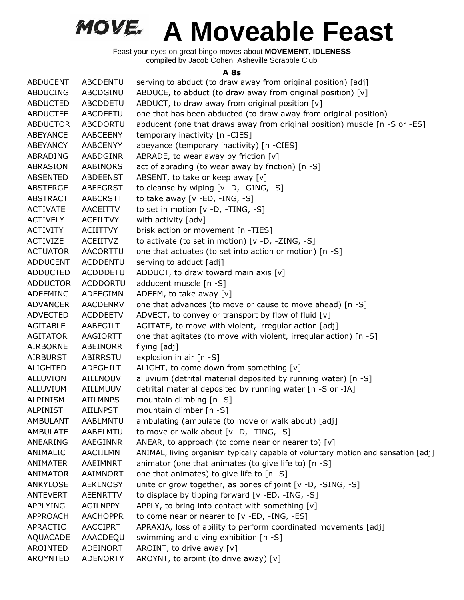Feast your eyes on great bingo moves about **MOVEMENT, IDLENESS** compiled by Jacob Cohen, Asheville Scrabble Club

#### **A 8s**

| <b>ABDUCENT</b> | <b>ABCDENTU</b> | serving to abduct (to draw away from original position) [adj]                     |
|-----------------|-----------------|-----------------------------------------------------------------------------------|
| ABDUCING        | ABCDGINU        | ABDUCE, to abduct (to draw away from original position) [v]                       |
| <b>ABDUCTED</b> | <b>ABCDDETU</b> | ABDUCT, to draw away from original position [v]                                   |
| <b>ABDUCTEE</b> | ABCDEETU        | one that has been abducted (to draw away from original position)                  |
| <b>ABDUCTOR</b> | ABCDORTU        | abducent (one that draws away from original position) muscle [n -S or -ES]        |
| ABEYANCE        | <b>AABCEENY</b> | temporary inactivity [n -CIES]                                                    |
| ABEYANCY        | <b>AABCENYY</b> | abeyance (temporary inactivity) [n -CIES]                                         |
| ABRADING        | AABDGINR        | ABRADE, to wear away by friction $[v]$                                            |
| ABRASION        | <b>AABINORS</b> | act of abrading (to wear away by friction) [n -S]                                 |
| <b>ABSENTED</b> | <b>ABDEENST</b> | ABSENT, to take or keep away [v]                                                  |
| <b>ABSTERGE</b> | <b>ABEEGRST</b> | to cleanse by wiping [v -D, -GING, -S]                                            |
| <b>ABSTRACT</b> | <b>AABCRSTT</b> | to take away $[v - ED, -ING, -S]$                                                 |
| <b>ACTIVATE</b> | AACEITTV        | to set in motion [v -D, -TING, -S]                                                |
| <b>ACTIVELY</b> | <b>ACEILTVY</b> | with activity [adv]                                                               |
| <b>ACTIVITY</b> | ACIITTVY        | brisk action or movement [n -TIES]                                                |
| <b>ACTIVIZE</b> | <b>ACEIITVZ</b> | to activate (to set in motion) [v -D, -ZING, -S]                                  |
| <b>ACTUATOR</b> | <b>AACORTTU</b> | one that actuates (to set into action or motion) [n -S]                           |
| <b>ADDUCENT</b> | <b>ACDDENTU</b> | serving to adduct [adj]                                                           |
| <b>ADDUCTED</b> | <b>ACDDDETU</b> | ADDUCT, to draw toward main axis [v]                                              |
| <b>ADDUCTOR</b> | <b>ACDDORTU</b> | adducent muscle [n -S]                                                            |
| ADEEMING        | ADEEGIMN        | ADEEM, to take away $[v]$                                                         |
| <b>ADVANCER</b> | <b>AACDENRV</b> | one that advances (to move or cause to move ahead) [n -S]                         |
| <b>ADVECTED</b> | <b>ACDDEETV</b> | ADVECT, to convey or transport by flow of fluid [v]                               |
| AGITABLE        | AABEGILT        | AGITATE, to move with violent, irregular action [adj]                             |
| <b>AGITATOR</b> | AAGIORTT        | one that agitates (to move with violent, irregular action) [n -S]                 |
| AIRBORNE        | ABEINORR        | flying [adj]                                                                      |
| <b>AIRBURST</b> | ABIRRSTU        | explosion in air [n -S]                                                           |
| <b>ALIGHTED</b> | ADEGHILT        | ALIGHT, to come down from something [v]                                           |
| ALLUVION        | <b>AILLNOUV</b> | alluvium (detrital material deposited by running water) [n -S]                    |
| ALLUVIUM        | AILLMUUV        | detrital material deposited by running water [n -S or -IA]                        |
| ALPINISM        | <b>AIILMNPS</b> | mountain climbing [n -S]                                                          |
| <b>ALPINIST</b> | <b>AIILNPST</b> | mountain climber [n -S]                                                           |
| <b>AMBULANT</b> | <b>AABLMNTU</b> | ambulating (ambulate (to move or walk about) [adj]                                |
| AMBULATE        | AABELMTU        | to move or walk about [v -D, -TING, -S]                                           |
| ANEARING        | AAEGINNR        | ANEAR, to approach (to come near or nearer to) [v]                                |
| ANIMALIC        | AACIILMN        | ANIMAL, living organism typically capable of voluntary motion and sensation [adj] |
| ANIMATER        | AAEIMNRT        | animator (one that animates (to give life to) [n -S]                              |
| <b>ANIMATOR</b> | AAIMNORT        | one that animates) to give life to [n -S]                                         |
| ANKYLOSE        | <b>AEKLNOSY</b> | unite or grow together, as bones of joint $[v -D, -SING, -S]$                     |
| <b>ANTEVERT</b> | <b>AEENRTTV</b> | to displace by tipping forward [v -ED, -ING, -S]                                  |
| APPLYING        | <b>AGILNPPY</b> | APPLY, to bring into contact with something [v]                                   |
| APPROACH        | <b>AACHOPPR</b> | to come near or nearer to [v -ED, -ING, -ES]                                      |
| APRACTIC        | <b>AACCIPRT</b> | APRAXIA, loss of ability to perform coordinated movements [adj]                   |
| AQUACADE        | AAACDEQU        | swimming and diving exhibition [n -S]                                             |
| AROINTED        | ADEINORT        | AROINT, to drive away [v]                                                         |
| <b>AROYNTED</b> | <b>ADENORTY</b> | AROYNT, to aroint (to drive away) [v]                                             |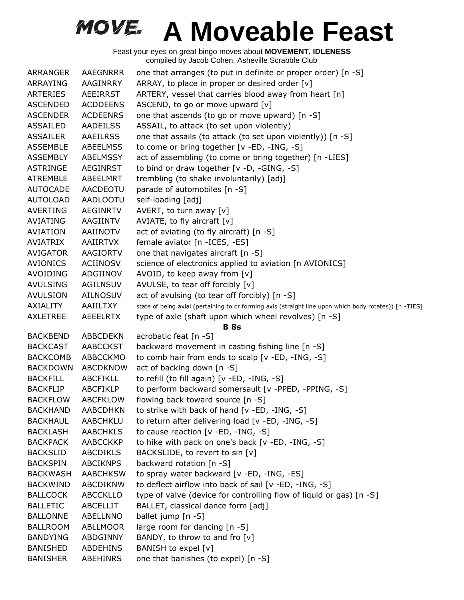| ARRANGER        | <b>AAEGNRRR</b> | one that arranges (to put in definite or proper order) [n -S]                                          |
|-----------------|-----------------|--------------------------------------------------------------------------------------------------------|
| ARRAYING        | AAGINRRY        | ARRAY, to place in proper or desired order [v]                                                         |
| <b>ARTERIES</b> | <b>AEEIRRST</b> | ARTERY, vessel that carries blood away from heart [n]                                                  |
| <b>ASCENDED</b> | <b>ACDDEENS</b> | ASCEND, to go or move upward [v]                                                                       |
| <b>ASCENDER</b> | <b>ACDEENRS</b> | one that ascends (to go or move upward) [n -S]                                                         |
| ASSAILED        | <b>AADEILSS</b> | ASSAIL, to attack (to set upon violently)                                                              |
| <b>ASSAILER</b> | <b>AAEILRSS</b> | one that assails (to attack (to set upon violently)) [n -S]                                            |
| <b>ASSEMBLE</b> | <b>ABEELMSS</b> | to come or bring together [v -ED, -ING, -S]                                                            |
| <b>ASSEMBLY</b> | <b>ABELMSSY</b> | act of assembling (to come or bring together) [n -LIES]                                                |
| <b>ASTRINGE</b> | AEGINRST        | to bind or draw together [v -D, -GING, -S]                                                             |
| <b>ATREMBLE</b> | ABEELMRT        | trembling (to shake involuntarily) [adj]                                                               |
| <b>AUTOCADE</b> | AACDEOTU        | parade of automobiles [n -S]                                                                           |
| <b>AUTOLOAD</b> | <b>AADLOOTU</b> | self-loading [adj]                                                                                     |
| <b>AVERTING</b> | <b>AEGINRTV</b> | AVERT, to turn away [v]                                                                                |
| AVIATING        | AAGIINTV        | AVIATE, to fly aircraft [v]                                                                            |
| <b>AVIATION</b> | AAIINOTV        | act of aviating (to fly aircraft) [n -S]                                                               |
| <b>AVIATRIX</b> | <b>AAIIRTVX</b> | female aviator [n - ICES, -ES]                                                                         |
| <b>AVIGATOR</b> | AAGIORTV        | one that navigates aircraft [n -S]                                                                     |
| <b>AVIONICS</b> | ACIINOSV        | science of electronics applied to aviation [n AVIONICS]                                                |
| <b>AVOIDING</b> | ADGIINOV        | AVOID, to keep away from $[v]$                                                                         |
| <b>AVULSING</b> | <b>AGILNSUV</b> | AVULSE, to tear off forcibly [v]                                                                       |
| <b>AVULSION</b> | AILNOSUV        | act of avulsing (to tear off forcibly) [n -S]                                                          |
| AXIALITY        | AAIILTXY        | state of being axial (pertaining to or forming axis (straight line upon which body rotates)) [n -TIES] |
| <b>AXLETREE</b> | <b>AEEELRTX</b> | type of axle (shaft upon which wheel revolves) [n -S]                                                  |
|                 |                 | <b>B</b> 8s                                                                                            |
| <b>BACKBEND</b> | <b>ABBCDEKN</b> | acrobatic feat [n -S]                                                                                  |
| <b>BACKCAST</b> | AABCCKST        | backward movement in casting fishing line [n -S]                                                       |
| <b>BACKCOMB</b> | ABBCCKMO        | to comb hair from ends to scalp [v -ED, -ING, -S]                                                      |
| <b>BACKDOWN</b> | <b>ABCDKNOW</b> | act of backing down [n -S]                                                                             |
| <b>BACKFILL</b> | <b>ABCFIKLL</b> | to refill (to fill again) [v -ED, -ING, -S]                                                            |
| <b>BACKFLIP</b> | <b>ABCFIKLP</b> | to perform backward somersault [v -PPED, -PPING, -S]                                                   |
| <b>BACKFLOW</b> | <b>ABCFKLOW</b> | flowing back toward source [n -S]                                                                      |
| <b>BACKHAND</b> | <b>AABCDHKN</b> | to strike with back of hand [v -ED, -ING, -S]                                                          |
| <b>BACKHAUL</b> | AABCHKLU        | to return after delivering load [v -ED, -ING, -S]                                                      |
| <b>BACKLASH</b> | <b>AABCHKLS</b> | to cause reaction $[v - ED, -ING, -S]$                                                                 |
| <b>BACKPACK</b> | AABCCKKP        | to hike with pack on one's back [v -ED, -ING, -S]                                                      |
| <b>BACKSLID</b> | <b>ABCDIKLS</b> | BACKSLIDE, to revert to sin [v]                                                                        |
| <b>BACKSPIN</b> | <b>ABCIKNPS</b> | backward rotation [n -S]                                                                               |
| <b>BACKWASH</b> | <b>AABCHKSW</b> | to spray water backward [v -ED, -ING, -ES]                                                             |
| <b>BACKWIND</b> | ABCDIKNW        | to deflect airflow into back of sail [v -ED, -ING, -S]                                                 |
| <b>BALLCOCK</b> | <b>ABCCKLLO</b> | type of valve (device for controlling flow of liquid or gas) [n -S]                                    |
| <b>BALLETIC</b> | ABCELLIT        | BALLET, classical dance form [adj]                                                                     |
| <b>BALLONNE</b> | ABELLNNO        | ballet jump [n -S]                                                                                     |
| <b>BALLROOM</b> | ABLLMOOR        | large room for dancing [n -S]                                                                          |
| <b>BANDYING</b> | ABDGINNY        | BANDY, to throw to and fro $[v]$                                                                       |
| <b>BANISHED</b> | ABDEHINS        | BANISH to expel [v]                                                                                    |
| <b>BANISHER</b> | ABEHINRS        | one that banishes (to expel) [n -S]                                                                    |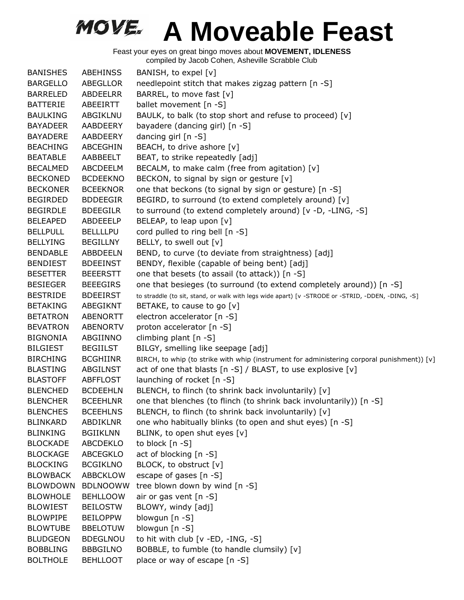| <b>BANISHES</b> | <b>ABEHINSS</b> | BANISH, to expel [v]                                                                              |
|-----------------|-----------------|---------------------------------------------------------------------------------------------------|
| <b>BARGELLO</b> | ABEGLLOR        | needlepoint stitch that makes zigzag pattern [n -S]                                               |
| <b>BARRELED</b> | <b>ABDEELRR</b> | BARREL, to move fast [v]                                                                          |
| <b>BATTERIE</b> | ABEEIRTT        | ballet movement [n -S]                                                                            |
| <b>BAULKING</b> | ABGIKLNU        | BAULK, to balk (to stop short and refuse to proceed) [v]                                          |
| <b>BAYADEER</b> | AABDEERY        | bayadere (dancing girl) [n -S]                                                                    |
| <b>BAYADERE</b> | AABDEERY        | dancing girl [n -S]                                                                               |
| <b>BEACHING</b> | ABCEGHIN        | BEACH, to drive ashore [v]                                                                        |
| <b>BEATABLE</b> | AABBEELT        | BEAT, to strike repeatedly [adj]                                                                  |
| <b>BECALMED</b> | ABCDEELM        | BECALM, to make calm (free from agitation) [v]                                                    |
| <b>BECKONED</b> | <b>BCDEEKNO</b> | BECKON, to signal by sign or gesture [v]                                                          |
| <b>BECKONER</b> | <b>BCEEKNOR</b> | one that beckons (to signal by sign or gesture) [n -S]                                            |
| <b>BEGIRDED</b> | <b>BDDEEGIR</b> | BEGIRD, to surround (to extend completely around) [v]                                             |
| <b>BEGIRDLE</b> | <b>BDEEGILR</b> | to surround (to extend completely around) [v -D, -LING, -S]                                       |
| <b>BELEAPED</b> | ABDEEELP        | BELEAP, to leap upon [v]                                                                          |
| <b>BELLPULL</b> | <b>BELLLLPU</b> | cord pulled to ring bell [n -S]                                                                   |
| <b>BELLYING</b> | <b>BEGILLNY</b> | BELLY, to swell out [v]                                                                           |
| <b>BENDABLE</b> | <b>ABBDEELN</b> | BEND, to curve (to deviate from straightness) [adj]                                               |
| <b>BENDIEST</b> | <b>BDEEINST</b> | BENDY, flexible (capable of being bent) [adj]                                                     |
| <b>BESETTER</b> | <b>BEEERSTT</b> | one that besets (to assail (to attack)) [n -S]                                                    |
| <b>BESIEGER</b> | <b>BEEEGIRS</b> | one that besieges (to surround (to extend completely around)) [n -S]                              |
| <b>BESTRIDE</b> | <b>BDEEIRST</b> | to straddle (to sit, stand, or walk with legs wide apart) [v -STRODE or -STRID, -DDEN, -DING, -S] |
| <b>BETAKING</b> | ABEGIKNT        | BETAKE, to cause to go [v]                                                                        |
| <b>BETATRON</b> | <b>ABENORTT</b> | electron accelerator [n -S]                                                                       |
| <b>BEVATRON</b> | <b>ABENORTV</b> | proton accelerator [n -S]                                                                         |
| <b>BIGNONIA</b> | ABGIINNO        | climbing plant [n -S]                                                                             |
| <b>BILGIEST</b> | <b>BEGIILST</b> | BILGY, smelling like seepage [adj]                                                                |
| <b>BIRCHING</b> | <b>BCGHIINR</b> | BIRCH, to whip (to strike with whip (instrument for administering corporal punishment)) [v]       |
| <b>BLASTING</b> | ABGILNST        | act of one that blasts [n -S] / BLAST, to use explosive [v]                                       |
| <b>BLASTOFF</b> | <b>ABFFLOST</b> | launching of rocket [n -S]                                                                        |
| <b>BLENCHED</b> | <b>BCDEEHLN</b> | BLENCH, to flinch (to shrink back involuntarily) [v]                                              |
| <b>BLENCHER</b> | <b>BCEEHLNR</b> | one that blenches (to flinch (to shrink back involuntarily)) [n -S]                               |
| <b>BLENCHES</b> | <b>BCEEHLNS</b> | BLENCH, to flinch (to shrink back involuntarily) [v]                                              |
| <b>BLINKARD</b> | ABDIKLNR        | one who habitually blinks (to open and shut eyes) [n -S]                                          |
| <b>BLINKING</b> | <b>BGIIKLNN</b> | BLINK, to open shut eyes [v]                                                                      |
| <b>BLOCKADE</b> | <b>ABCDEKLO</b> | to block [n -S]                                                                                   |
| <b>BLOCKAGE</b> | <b>ABCEGKLO</b> | act of blocking [n -S]                                                                            |
| <b>BLOCKING</b> | <b>BCGIKLNO</b> | BLOCK, to obstruct [v]                                                                            |
| <b>BLOWBACK</b> | <b>ABBCKLOW</b> | escape of gases [n -S]                                                                            |
| <b>BLOWDOWN</b> | <b>BDLNOOWW</b> | tree blown down by wind [n -S]                                                                    |
| <b>BLOWHOLE</b> | <b>BEHLLOOW</b> | air or gas vent [n -S]                                                                            |
| <b>BLOWIEST</b> | <b>BEILOSTW</b> | BLOWY, windy [adj]                                                                                |
| <b>BLOWPIPE</b> | <b>BEILOPPW</b> | blowgun [n -S]                                                                                    |
| <b>BLOWTUBE</b> | <b>BBELOTUW</b> | blowgun [n -S]                                                                                    |
| <b>BLUDGEON</b> | <b>BDEGLNOU</b> | to hit with club [v -ED, -ING, -S]                                                                |
| <b>BOBBLING</b> | <b>BBBGILNO</b> | BOBBLE, to fumble (to handle clumsily) [v]                                                        |
| <b>BOLTHOLE</b> | <b>BEHLLOOT</b> | place or way of escape [n -S]                                                                     |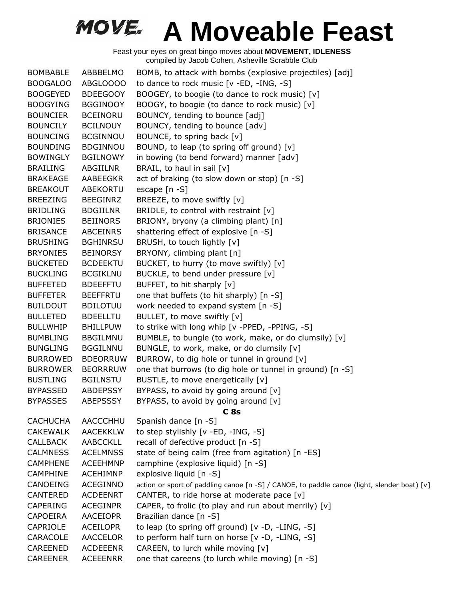| <b>BOMBABLE</b> | ABBBELMO        | BOMB, to attack with bombs (explosive projectiles) [adj]                                    |
|-----------------|-----------------|---------------------------------------------------------------------------------------------|
| <b>BOOGALOO</b> | ABGLOOOO        | to dance to rock music [v -ED, -ING, -S]                                                    |
| <b>BOOGEYED</b> | <b>BDEEGOOY</b> | BOOGEY, to boogie (to dance to rock music) [v]                                              |
| <b>BOOGYING</b> | <b>BGGINOOY</b> | BOOGY, to boogie (to dance to rock music) [v]                                               |
| <b>BOUNCIER</b> | <b>BCEINORU</b> | BOUNCY, tending to bounce [adj]                                                             |
| <b>BOUNCILY</b> | <b>BCILNOUY</b> | BOUNCY, tending to bounce [adv]                                                             |
| <b>BOUNCING</b> | <b>BCGINNOU</b> | BOUNCE, to spring back [v]                                                                  |
| <b>BOUNDING</b> | <b>BDGINNOU</b> | BOUND, to leap (to spring off ground) [v]                                                   |
| <b>BOWINGLY</b> | <b>BGILNOWY</b> | in bowing (to bend forward) manner [adv]                                                    |
| <b>BRAILING</b> | ABGIILNR        | BRAIL, to haul in sail [v]                                                                  |
| <b>BRAKEAGE</b> | <b>AABEEGKR</b> | act of braking (to slow down or stop) [n -S]                                                |
| <b>BREAKOUT</b> | ABEKORTU        | escape [n -S]                                                                               |
| <b>BREEZING</b> | <b>BEEGINRZ</b> | BREEZE, to move swiftly [v]                                                                 |
| <b>BRIDLING</b> | <b>BDGIILNR</b> | BRIDLE, to control with restraint $[v]$                                                     |
| <b>BRIONIES</b> | <b>BEIINORS</b> | BRIONY, bryony (a climbing plant) [n]                                                       |
| <b>BRISANCE</b> | <b>ABCEINRS</b> | shattering effect of explosive [n -S]                                                       |
| <b>BRUSHING</b> | <b>BGHINRSU</b> | BRUSH, to touch lightly [v]                                                                 |
| <b>BRYONIES</b> | <b>BEINORSY</b> | BRYONY, climbing plant [n]                                                                  |
| <b>BUCKETED</b> | <b>BCDEEKTU</b> | BUCKET, to hurry (to move swiftly) [v]                                                      |
| <b>BUCKLING</b> | <b>BCGIKLNU</b> | BUCKLE, to bend under pressure [v]                                                          |
| <b>BUFFETED</b> | <b>BDEEFFTU</b> | BUFFET, to hit sharply [v]                                                                  |
| <b>BUFFETER</b> | <b>BEEFFRTU</b> | one that buffets (to hit sharply) [n -S]                                                    |
| <b>BUILDOUT</b> | <b>BDILOTUU</b> | work needed to expand system [n -S]                                                         |
| <b>BULLETED</b> | <b>BDEELLTU</b> | BULLET, to move swiftly [v]                                                                 |
| <b>BULLWHIP</b> | <b>BHILLPUW</b> | to strike with long whip [v -PPED, -PPING, -S]                                              |
| <b>BUMBLING</b> | <b>BBGILMNU</b> | BUMBLE, to bungle (to work, make, or do clumsily) [v]                                       |
| <b>BUNGLING</b> | <b>BGGILNNU</b> | BUNGLE, to work, make, or do clumsily [v]                                                   |
| <b>BURROWED</b> | <b>BDEORRUW</b> | BURROW, to dig hole or tunnel in ground [v]                                                 |
| <b>BURROWER</b> | <b>BEORRRUW</b> | one that burrows (to dig hole or tunnel in ground) [n -S]                                   |
| <b>BUSTLING</b> | <b>BGILNSTU</b> | BUSTLE, to move energetically [v]                                                           |
| <b>BYPASSED</b> | <b>ABDEPSSY</b> | BYPASS, to avoid by going around [v]                                                        |
| <b>BYPASSES</b> | <b>ABEPSSSY</b> | BYPASS, to avoid by going around [v]                                                        |
|                 |                 | C <sub>8s</sub>                                                                             |
| <b>CACHUCHA</b> | AACCCHHU        | Spanish dance [n -S]                                                                        |
| <b>CAKEWALK</b> | <b>AACEKKLW</b> | to step stylishly [v -ED, -ING, -S]                                                         |
| <b>CALLBACK</b> | AABCCKLL        | recall of defective product [n -S]                                                          |
| <b>CALMNESS</b> | <b>ACELMNSS</b> | state of being calm (free from agitation) [n -ES]                                           |
| <b>CAMPHENE</b> | <b>ACEEHMNP</b> | camphine (explosive liquid) [n -S]                                                          |
| <b>CAMPHINE</b> | ACEHIMNP        | explosive liquid [n -S]                                                                     |
| CANOEING        | ACEGINNO        | action or sport of paddling canoe [n -S] / CANOE, to paddle canoe (light, slender boat) [v] |
| <b>CANTERED</b> | <b>ACDEENRT</b> | CANTER, to ride horse at moderate pace [v]                                                  |
| <b>CAPERING</b> | <b>ACEGINPR</b> | CAPER, to frolic (to play and run about merrily) [v]                                        |
| CAPOEIRA        | AACEIOPR        | Brazilian dance [n -S]                                                                      |
| CAPRIOLE        | <b>ACEILOPR</b> | to leap (to spring off ground) [v -D, -LING, -S]                                            |
| CARACOLE        | <b>AACCELOR</b> | to perform half turn on horse [v -D, -LING, -S]                                             |
| CAREENED        | <b>ACDEEENR</b> | CAREEN, to lurch while moving [v]                                                           |
| <b>CAREENER</b> | <b>ACEEENRR</b> | one that careens (to lurch while moving) [n -S]                                             |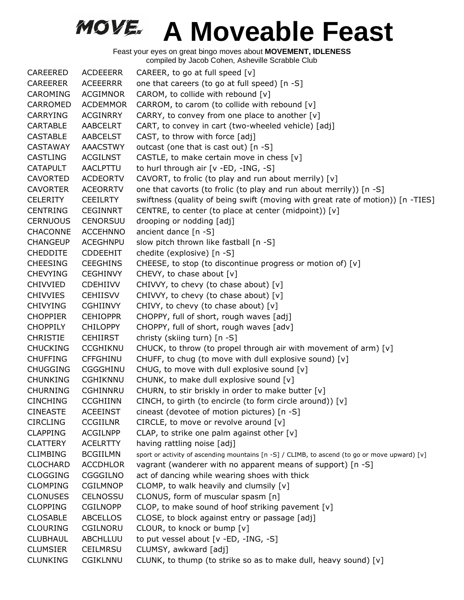| CAREERED        | <b>ACDEEERR</b> | CAREER, to go at full speed $[v]$                                                             |
|-----------------|-----------------|-----------------------------------------------------------------------------------------------|
| <b>CAREERER</b> | ACEEERRR        | one that careers (to go at full speed) [n -S]                                                 |
| CAROMING        | <b>ACGIMNOR</b> | CAROM, to collide with rebound [v]                                                            |
| CARROMED        | <b>ACDEMMOR</b> | CARROM, to carom (to collide with rebound [v]                                                 |
| <b>CARRYING</b> | <b>ACGINRRY</b> | CARRY, to convey from one place to another [v]                                                |
| <b>CARTABLE</b> | AABCELRT        | CART, to convey in cart (two-wheeled vehicle) [adj]                                           |
| <b>CASTABLE</b> | AABCELST        | CAST, to throw with force [adj]                                                               |
| <b>CASTAWAY</b> | <b>AAACSTWY</b> | outcast (one that is cast out) [n -S]                                                         |
| CASTLING        | <b>ACGILNST</b> | CASTLE, to make certain move in chess $[v]$                                                   |
| <b>CATAPULT</b> | <b>AACLPTTU</b> | to hurl through air [v -ED, -ING, -S]                                                         |
| <b>CAVORTED</b> | <b>ACDEORTV</b> | CAVORT, to frolic (to play and run about merrily) [v]                                         |
| <b>CAVORTER</b> | <b>ACEORRTV</b> | one that cavorts (to frolic (to play and run about merrily)) [n -S]                           |
| <b>CELERITY</b> | <b>CEEILRTY</b> | swiftness (quality of being swift (moving with great rate of motion)) [n -TIES]               |
| <b>CENTRING</b> | <b>CEGINNRT</b> | CENTRE, to center (to place at center (midpoint)) [v]                                         |
| <b>CERNUOUS</b> | <b>CENORSUU</b> | drooping or nodding [adj]                                                                     |
| <b>CHACONNE</b> | <b>ACCEHNNO</b> | ancient dance [n -S]                                                                          |
| <b>CHANGEUP</b> | <b>ACEGHNPU</b> | slow pitch thrown like fastball [n -S]                                                        |
| <b>CHEDDITE</b> | <b>CDDEEHIT</b> | chedite (explosive) [n -S]                                                                    |
| <b>CHEESING</b> | <b>CEEGHINS</b> | CHEESE, to stop (to discontinue progress or motion of) [v]                                    |
| <b>CHEVYING</b> | <b>CEGHINVY</b> | CHEVY, to chase about [v]                                                                     |
| <b>CHIVVIED</b> | <b>CDEHIIVV</b> | CHIVVY, to chevy (to chase about) [v]                                                         |
| <b>CHIVVIES</b> | <b>CEHIISVV</b> | CHIVVY, to chevy (to chase about) [v]                                                         |
| <b>CHIVYING</b> | <b>CGHIINVY</b> | CHIVY, to chevy (to chase about) [v]                                                          |
| <b>CHOPPIER</b> | <b>CEHIOPPR</b> | CHOPPY, full of short, rough waves [adj]                                                      |
| <b>CHOPPILY</b> | <b>CHILOPPY</b> | CHOPPY, full of short, rough waves [adv]                                                      |
| <b>CHRISTIE</b> | <b>CEHIIRST</b> | christy (skiing turn) [n -S]                                                                  |
| <b>CHUCKING</b> | <b>CCGHIKNU</b> | CHUCK, to throw (to propel through air with movement of arm) [v]                              |
| <b>CHUFFING</b> | <b>CFFGHINU</b> | CHUFF, to chug (to move with dull explosive sound) [v]                                        |
| <b>CHUGGING</b> | <b>CGGGHINU</b> | CHUG, to move with dull explosive sound [v]                                                   |
| <b>CHUNKING</b> | <b>CGHIKNNU</b> | CHUNK, to make dull explosive sound [v]                                                       |
| <b>CHURNING</b> | <b>CGHINNRU</b> | CHURN, to stir briskly in order to make butter [v]                                            |
| <b>CINCHING</b> | <b>CCGHIINN</b> | CINCH, to girth (to encircle (to form circle around)) [v]                                     |
| <b>CINEASTE</b> | <b>ACEEINST</b> | cineast (devotee of motion pictures) [n -S]                                                   |
| <b>CIRCLING</b> | <b>CCGIILNR</b> | CIRCLE, to move or revolve around [v]                                                         |
| <b>CLAPPING</b> | <b>ACGILNPP</b> | CLAP, to strike one palm against other [v]                                                    |
| <b>CLATTERY</b> | <b>ACELRTTY</b> | having rattling noise [adj]                                                                   |
| <b>CLIMBING</b> | <b>BCGIILMN</b> | sport or activity of ascending mountains [n -S] / CLIMB, to ascend (to go or move upward) [v] |
| <b>CLOCHARD</b> | <b>ACCDHLOR</b> | vagrant (wanderer with no apparent means of support) [n -S]                                   |
| <b>CLOGGING</b> | CGGGILNO        | act of dancing while wearing shoes with thick                                                 |
| <b>CLOMPING</b> | <b>CGILMNOP</b> | CLOMP, to walk heavily and clumsily $[v]$                                                     |
| <b>CLONUSES</b> | <b>CELNOSSU</b> | CLONUS, form of muscular spasm [n]                                                            |
| <b>CLOPPING</b> | <b>CGILNOPP</b> | CLOP, to make sound of hoof striking pavement [v]                                             |
| <b>CLOSABLE</b> | <b>ABCELLOS</b> | CLOSE, to block against entry or passage [adj]                                                |
| <b>CLOURING</b> | CGILNORU        | CLOUR, to knock or bump [v]                                                                   |
| <b>CLUBHAUL</b> | ABCHLLUU        | to put vessel about [v -ED, -ING, -S]                                                         |
| <b>CLUMSIER</b> | <b>CEILMRSU</b> | CLUMSY, awkward [adj]                                                                         |
| <b>CLUNKING</b> | <b>CGIKLNNU</b> | CLUNK, to thump (to strike so as to make dull, heavy sound) [v]                               |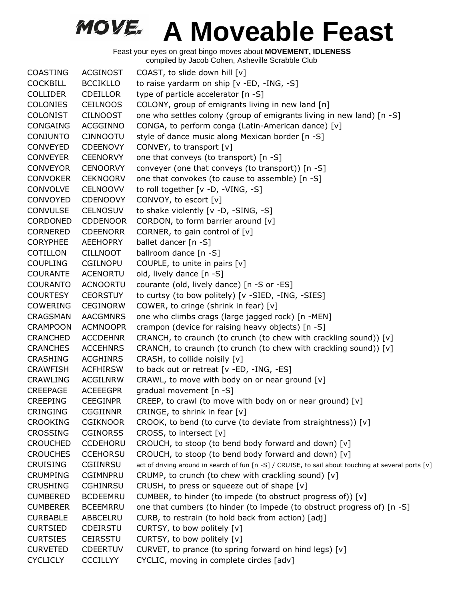Feast your eyes on great bingo moves about **MOVEMENT, IDLENESS** compiled by Jacob Cohen, Asheville Scrabble Club

COASTING ACGINOST COAST, to slide down hill [v] COCKBILL BCCIKLLO to raise yardarm on ship [v -ED, -ING, -S] COLLIDER CDEILLOR type of particle accelerator [n -S] COLONIES CEILNOOS COLONY, group of emigrants living in new land [n] COLONIST CILNOOST one who settles colony (group of emigrants living in new land) [n -S] CONGAING ACGGINNO CONGA, to perform conga (Latin-American dance) [v] CONJUNTO CJNNOOTU style of dance music along Mexican border [n -S] CONVEYED CDEENOVY CONVEY, to transport [v] CONVEYER CEENORVY one that conveys (to transport) [n -S] CONVEYOR CENOORVY conveyer (one that conveys (to transport)) [n -S] CONVOKER CEKNOORV one that convokes (to cause to assemble) [n -S] CONVOLVE CELNOOVV to roll together [v -D, -VING, -S] CONVOYED CDENOOVY CONVOY, to escort [v] CONVULSE CELNOSUV to shake violently [v -D, -SING, -S] CORDONED CDDENOOR CORDON, to form barrier around [v] CORNERED CDEENORR CORNER, to gain control of [v] CORYPHEE AEEHOPRY ballet dancer [n -S] COTILLON CILLNOOT ballroom dance [n -S] COUPLING CGILNOPU COUPLE, to unite in pairs [v] COURANTE ACENORTU old, lively dance [n -S] COURANTO ACNOORTU courante (old, lively dance) [n -S or -ES] COURTESY CEORSTUY to curtsy (to bow politely) [v -SIED, -ING, -SIES] COWERING CEGINORW COWER, to cringe (shrink in fear) [v] CRAGSMAN AACGMNRS one who climbs crags (large jagged rock) [n -MEN] CRAMPOON ACMNOOPR crampon (device for raising heavy objects) [n -S] CRANCHED ACCDEHNR CRANCH, to craunch (to crunch (to chew with crackling sound)) [v] CRANCHES ACCEHNRS CRANCH, to craunch (to crunch (to chew with crackling sound)) [v] CRASHING ACGHINRS CRASH, to collide noisily [v] CRAWFISH ACFHIRSW to back out or retreat [v -ED, -ING, -ES] CRAWLING ACGILNRW CRAWL, to move with body on or near ground  $[v]$ CREEPAGE ACEEEGPR gradual movement [n -S] CREEPING CEEGINPR CREEP, to crawl (to move with body on or near ground) [v] CRINGING CGGIINNR CRINGE, to shrink in fear [v] CROOKING CGIKNOOR CROOK, to bend (to curve (to deviate from straightness)) [v] CROSSING CGINORSS CROSS, to intersect [v] CROUCHED CCDEHORU CROUCH, to stoop (to bend body forward and down)  $[v]$ CROUCHES CCEHORSU CROUCH, to stoop (to bend body forward and down)  $[v]$ CRUISING CGIINRSU act of driving around in search of fun [n -S] / CRUISE, to sail about touching at several ports [v] CRUMPING CGIMNPRU CRUMP, to crunch (to chew with crackling sound)  $[v]$ CRUSHING CGHINRSU CRUSH, to press or squeeze out of shape [v] CUMBERED BCDEEMRU CUMBER, to hinder (to impede (to obstruct progress of)) [v] CUMBERER BCEEMRRU one that cumbers (to hinder (to impede (to obstruct progress of) [n -S] CURBABLE ABBCELRU CURB, to restrain (to hold back from action) [adj] CURTSIED CDEIRSTU CURTSY, to bow politely [v] CURTSIES CEIRSSTU CURTSY, to bow politely [v] CURVETED CDEERTUV CURVET, to prance (to spring forward on hind legs) [v] CYCLICLY CCCILLYY CYCLIC, moving in complete circles [adv]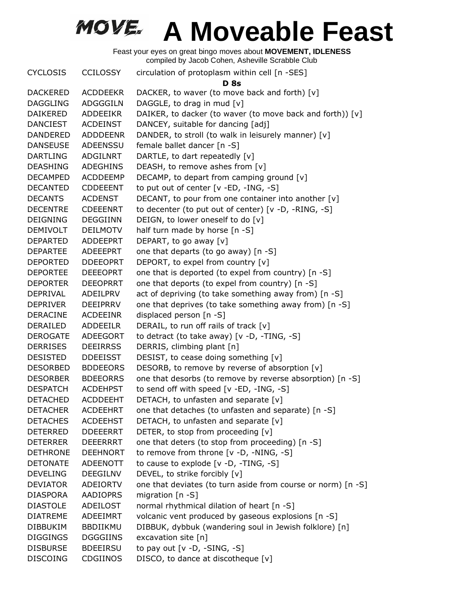Feast your eyes on great bingo moves about **MOVEMENT, IDLENESS** compiled by Jacob Cohen, Asheville Scrabble Club

CYCLOSIS CCILOSSY circulation of protoplasm within cell [n -SES] **D 8s** DACKERED ACDDEEKR DACKER, to waver (to move back and forth) [v] DAGGLING ADGGGILN DAGGLE, to drag in mud [v] DAIKERED ADDEEIKR DAIKER, to dacker (to waver (to move back and forth)) [v] DANCIEST ACDEINST DANCEY, suitable for dancing [adj] DANDERED ADDDEENR DANDER, to stroll (to walk in leisurely manner) [v] DANSEUSE ADEENSSU female ballet dancer [n -S] DARTLING ADGILNRT DARTLE, to dart repeatedly [v] DEASHING ADEGHINS DEASH, to remove ashes from [v] DECAMPED ACDDEEMP DECAMP, to depart from camping ground [v] DECANTED CDDEEENT to put out of center [v -ED, -ING, -S] DECANTS ACDENST DECANT, to pour from one container into another  $[v]$ DECENTRE CDEEENRT to decenter (to put out of center) [v -D, -RING, -S] DEIGNING DEGGIINN DEIGN, to lower oneself to do [v] DEMIVOLT DEILMOTV half turn made by horse [n -S] DEPARTED ADDEEPRT DEPART, to go away [v] DEPARTEE ADEEEPRT one that departs (to go away) [n -S] DEPORTED DDEEOPRT DEPORT, to expel from country [v] DEPORTEE DEEEOPRT one that is deported (to expel from country) [n -S] DEPORTER DEEOPRRT one that deports (to expel from country) [n -S] DEPRIVAL ADEILPRV act of depriving (to take something away from) [n -S] DEPRIVER DEEIPRRV one that deprives (to take something away from) [n -S] DERACINE ACDEEINR displaced person [n -S] DERAILED ADDEEILR DERAIL, to run off rails of track [v] DEROGATE ADEEGORT to detract (to take away) [v -D, -TING, -S] DERRISES DEEIRRSS DERRIS, climbing plant [n] DESISTED DDEEISST DESIST, to cease doing something [v] DESORBED BDDEEORS DESORB, to remove by reverse of absorption [v] DESORBER BDEEORRS one that desorbs (to remove by reverse absorption) [n -S] DESPATCH ACDEHPST to send off with speed [v -ED, -ING, -S] DETACHED ACDDEEHT DETACH, to unfasten and separate [v] DETACHER ACDEEHRT one that detaches (to unfasten and separate) [n -S] DETACHES ACDEEHST DETACH, to unfasten and separate [v] DETERRED DDEEERRT DETER, to stop from proceeding [v] DETERRER DEEERRRT one that deters (to stop from proceeding) [n -S] DETHRONE DEEHNORT to remove from throne [v -D, -NING, -S] DETONATE ADEENOTT to cause to explode [v -D, -TING, -S] DEVELING DEEGILNV DEVEL, to strike forcibly [v] DEVIATOR ADEIORTV one that deviates (to turn aside from course or norm) [n -S] DIASPORA AADIOPRS migration [n -S] DIASTOLE ADEILOST normal rhythmical dilation of heart [n -S] DIATREME ADEEIMRT volcanic vent produced by gaseous explosions [n -S] DIBBUKIM BBDIIKMU DIBBUK, dybbuk (wandering soul in Jewish folklore) [n] DIGGINGS DGGGIINS excavation site [n] DISBURSE BDEEIRSU to pay out [v -D, -SING, -S] DISCOING CDGIINOS DISCO, to dance at discotheque [v]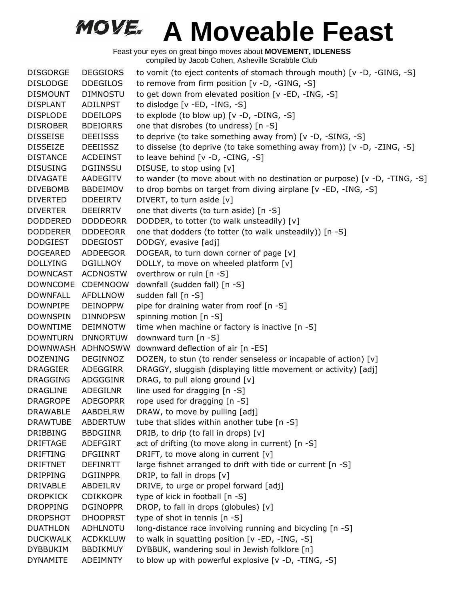| <b>DISGORGE</b> | <b>DEGGIORS</b> | to vomit (to eject contents of stomach through mouth) [v -D, -GING, -S]    |
|-----------------|-----------------|----------------------------------------------------------------------------|
| <b>DISLODGE</b> | <b>DDEGILOS</b> | to remove from firm position [v -D, -GING, -S]                             |
| <b>DISMOUNT</b> | <b>DIMNOSTU</b> | to get down from elevated position [v -ED, -ING, -S]                       |
| <b>DISPLANT</b> | <b>ADILNPST</b> | to dislodge [v -ED, -ING, -S]                                              |
| <b>DISPLODE</b> | <b>DDEILOPS</b> | to explode (to blow up) [v -D, -DING, -S]                                  |
| <b>DISROBER</b> | <b>BDEIORRS</b> | one that disrobes (to undress) [n -S]                                      |
| <b>DISSEISE</b> | <b>DEEIISSS</b> | to deprive (to take something away from) [v -D, -SING, -S]                 |
| <b>DISSEIZE</b> | <b>DEEIISSZ</b> | to disseise (to deprive (to take something away from)) [v -D, -ZING, -S]   |
| <b>DISTANCE</b> | <b>ACDEINST</b> | to leave behind [v -D, -CING, -S]                                          |
| <b>DISUSING</b> | <b>DGIINSSU</b> | DISUSE, to stop using [v]                                                  |
| <b>DIVAGATE</b> | AADEGITV        | to wander (to move about with no destination or purpose) [v -D, -TING, -S] |
| <b>DIVEBOMB</b> | <b>BBDEIMOV</b> | to drop bombs on target from diving airplane [v -ED, -ING, -S]             |
| <b>DIVERTED</b> | <b>DDEEIRTV</b> | DIVERT, to turn aside [v]                                                  |
| <b>DIVERTER</b> | <b>DEEIRRTV</b> | one that diverts (to turn aside) [n -S]                                    |
| <b>DODDERED</b> | <b>DDDDEORR</b> | DODDER, to totter (to walk unsteadily) [v]                                 |
| <b>DODDERER</b> | <b>DDDEEORR</b> | one that dodders (to totter (to walk unsteadily)) [n -S]                   |
| <b>DODGIEST</b> | <b>DDEGIOST</b> | DODGY, evasive [adj]                                                       |
| <b>DOGEARED</b> | ADDEEGOR        | DOGEAR, to turn down corner of page [v]                                    |
| <b>DOLLYING</b> | DGILLNOY        | DOLLY, to move on wheeled platform [v]                                     |
| <b>DOWNCAST</b> | <b>ACDNOSTW</b> | overthrow or ruin [n -S]                                                   |
| <b>DOWNCOME</b> | <b>CDEMNOOW</b> | downfall (sudden fall) [n -S]                                              |
| <b>DOWNFALL</b> | <b>AFDLLNOW</b> | sudden fall [n -S]                                                         |
| <b>DOWNPIPE</b> | <b>DEINOPPW</b> | pipe for draining water from roof [n -S]                                   |
| <b>DOWNSPIN</b> | <b>DINNOPSW</b> | spinning motion [n -S]                                                     |
| <b>DOWNTIME</b> | <b>DEIMNOTW</b> | time when machine or factory is inactive [n -S]                            |
| <b>DOWNTURN</b> | <b>DNNORTUW</b> | downward turn [n -S]                                                       |
| DOWNWASH        | <b>ADHNOSWW</b> | downward deflection of air [n -ES]                                         |
| <b>DOZENING</b> | <b>DEGINNOZ</b> | DOZEN, to stun (to render senseless or incapable of action) [v]            |
| <b>DRAGGIER</b> | ADEGGIRR        | DRAGGY, sluggish (displaying little movement or activity) [adj]            |
| <b>DRAGGING</b> | ADGGGINR        | DRAG, to pull along ground [v]                                             |
| <b>DRAGLINE</b> | ADEGILNR        | line used for dragging [n -S]                                              |
| <b>DRAGROPE</b> | <b>ADEGOPRR</b> | rope used for dragging [n -S]                                              |
| <b>DRAWABLE</b> | AABDELRW        | DRAW, to move by pulling [adj]                                             |
| <b>DRAWTUBE</b> | <b>ABDERTUW</b> | tube that slides within another tube [n -S]                                |
| <b>DRIBBING</b> | <b>BBDGIINR</b> | DRIB, to drip (to fall in drops) [v]                                       |
| <b>DRIFTAGE</b> | ADEFGIRT        | act of drifting (to move along in current) [n -S]                          |
| <b>DRIFTING</b> | <b>DFGIINRT</b> | DRIFT, to move along in current [v]                                        |
| <b>DRIFTNET</b> | <b>DEFINRTT</b> | large fishnet arranged to drift with tide or current [n -S]                |
| <b>DRIPPING</b> | <b>DGIINPPR</b> | DRIP, to fall in drops [v]                                                 |
| <b>DRIVABLE</b> | ABDEILRV        | DRIVE, to urge or propel forward [adj]                                     |
| <b>DROPKICK</b> | <b>CDIKKOPR</b> | type of kick in football [n -S]                                            |
| <b>DROPPING</b> | <b>DGINOPPR</b> | DROP, to fall in drops (globules) [v]                                      |
| <b>DROPSHOT</b> | <b>DHOOPRST</b> | type of shot in tennis [n -S]                                              |
| <b>DUATHLON</b> | ADHLNOTU        | long-distance race involving running and bicycling [n -S]                  |
| <b>DUCKWALK</b> | <b>ACDKKLUW</b> | to walk in squatting position [v -ED, -ING, -S]                            |
| <b>DYBBUKIM</b> | <b>BBDIKMUY</b> | DYBBUK, wandering soul in Jewish folklore [n]                              |
| <b>DYNAMITE</b> | ADEIMNTY        | to blow up with powerful explosive [v -D, -TING, -S]                       |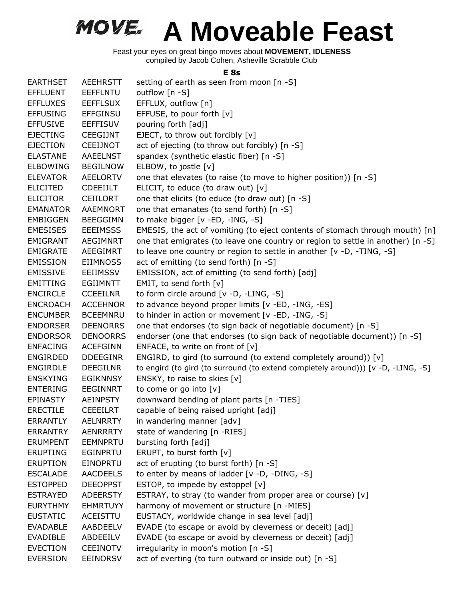Feast your eyes on great bingo moves about **MOVEMENT, IDLENESS** compiled by Jacob Cohen, Asheville Scrabble Club

#### **E 8s**

|                 |                 | E 8S                                                                              |
|-----------------|-----------------|-----------------------------------------------------------------------------------|
| <b>EARTHSET</b> | <b>AEEHRSTT</b> | setting of earth as seen from moon [n -S]                                         |
| <b>EFFLUENT</b> | <b>EEFFLNTU</b> | outflow [n -S]                                                                    |
| <b>EFFLUXES</b> | <b>EEFFLSUX</b> | EFFLUX, outflow [n]                                                               |
| <b>EFFUSING</b> | <b>EFFGINSU</b> | EFFUSE, to pour forth [v]                                                         |
| <b>EFFUSIVE</b> | <b>EEFFISUV</b> | pouring forth [adj]                                                               |
| <b>EJECTING</b> | CEEGIJNT        | EJECT, to throw out forcibly [v]                                                  |
| <b>EJECTION</b> | CEEIJNOT        | act of ejecting (to throw out forcibly) [n -S]                                    |
| <b>ELASTANE</b> | <b>AAEELNST</b> | spandex (synthetic elastic fiber) [n -S]                                          |
| <b>ELBOWING</b> | <b>BEGILNOW</b> | ELBOW, to jostle [v]                                                              |
| <b>ELEVATOR</b> | <b>AEELORTV</b> | one that elevates (to raise (to move to higher position)) [n -S]                  |
| <b>ELICITED</b> | <b>CDEEIILT</b> | ELICIT, to educe (to draw out) $[v]$                                              |
| <b>ELICITOR</b> | <b>CEIILORT</b> | one that elicits (to educe (to draw out) [n -S]                                   |
| <b>EMANATOR</b> | AAEMNORT        | one that emanates (to send forth) [n -S]                                          |
| <b>EMBIGGEN</b> | <b>BEEGGIMN</b> | to make bigger [v -ED, -ING, -S]                                                  |
| <b>EMESISES</b> | <b>EEEIMSSS</b> | EMESIS, the act of vomiting (to eject contents of stomach through mouth) [n]      |
| EMIGRANT        | <b>AEGIMNRT</b> | one that emigrates (to leave one country or region to settle in another) [n -S]   |
| <b>EMIGRATE</b> | AEEGIMRT        | to leave one country or region to settle in another [v -D, -TING, -S]             |
| <b>EMISSION</b> | <b>EIIMNOSS</b> | act of emitting (to send forth) [n -S]                                            |
| <b>EMISSIVE</b> | <b>EEIIMSSV</b> | EMISSION, act of emitting (to send forth) [adj]                                   |
| <b>EMITTING</b> | <b>EGIIMNTT</b> | EMIT, to send forth [v]                                                           |
| <b>ENCIRCLE</b> | <b>CCEEILNR</b> | to form circle around [v -D, -LING, -S]                                           |
| <b>ENCROACH</b> | <b>ACCEHNOR</b> | to advance beyond proper limits [v -ED, -ING, -ES]                                |
| <b>ENCUMBER</b> | <b>BCEEMNRU</b> | to hinder in action or movement [v -ED, -ING, -S]                                 |
| <b>ENDORSER</b> | <b>DEENORRS</b> | one that endorses (to sign back of negotiable document) [n -S]                    |
| <b>ENDORSOR</b> | <b>DENOORRS</b> | endorser (one that endorses (to sign back of negotiable document)) [n -S]         |
| <b>ENFACING</b> | <b>ACEFGINN</b> | ENFACE, to write on front of [v]                                                  |
| <b>ENGIRDED</b> | <b>DDEEGINR</b> | ENGIRD, to gird (to surround (to extend completely around)) [v]                   |
| <b>ENGIRDLE</b> | <b>DEEGILNR</b> | to engird (to gird (to surround (to extend completely around))) [v -D, -LING, -S] |
| <b>ENSKYING</b> | <b>EGIKNNSY</b> | ENSKY, to raise to skies [v]                                                      |
| <b>ENTERING</b> | <b>EEGINNRT</b> | to come or go into [v]                                                            |
| <b>EPINASTY</b> | <b>AEINPSTY</b> | downward bending of plant parts [n -TIES]                                         |
| <b>ERECTILE</b> | <b>CEEEILRT</b> | capable of being raised upright [adj]                                             |
| <b>ERRANTLY</b> | <b>AELNRRTY</b> | in wandering manner [adv]                                                         |
| <b>ERRANTRY</b> | <b>AENRRRTY</b> | state of wandering [n -RIES]                                                      |
| <b>ERUMPENT</b> | <b>EEMNPRTU</b> | bursting forth [adj]                                                              |
| <b>ERUPTING</b> | <b>EGINPRTU</b> | ERUPT, to burst forth [v]                                                         |
| <b>ERUPTION</b> | EINOPRTU        | act of erupting (to burst forth) [n -S]                                           |
| <b>ESCALADE</b> | <b>AACDEELS</b> | to enter by means of ladder [v -D, -DING, -S]                                     |
| <b>ESTOPPED</b> | <b>DEEOPPST</b> | ESTOP, to impede by estoppel [v]                                                  |
| <b>ESTRAYED</b> | <b>ADEERSTY</b> | ESTRAY, to stray (to wander from proper area or course) [v]                       |
| <b>EURYTHMY</b> | <b>EHMRTUYY</b> | harmony of movement or structure [n -MIES]                                        |
| <b>EUSTATIC</b> | ACEISTTU        | EUSTACY, worldwide change in sea level [adj]                                      |
| <b>EVADABLE</b> | AABDEELV        | EVADE (to escape or avoid by cleverness or deceit) [adj]                          |
| <b>EVADIBLE</b> | ABDEEILV        | EVADE (to escape or avoid by cleverness or deceit) [adj]                          |
| <b>EVECTION</b> | <b>CEEINOTV</b> | irregularity in moon's motion [n -S]                                              |
| <b>EVERSION</b> | EEINORSV        | act of everting (to turn outward or inside out) [n -S]                            |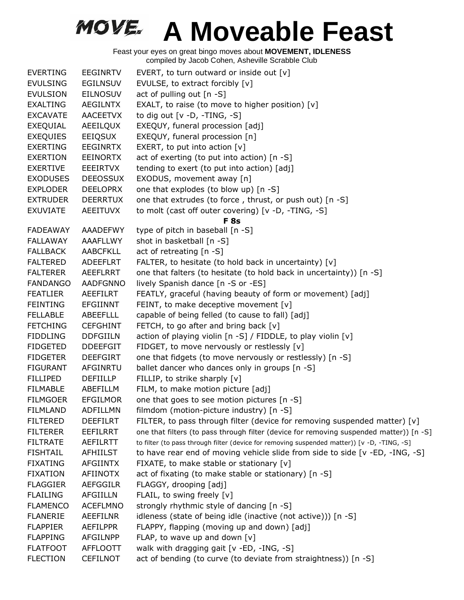| <b>EVERTING</b> | <b>EEGINRTV</b> | EVERT, to turn outward or inside out $[v]$                                                  |
|-----------------|-----------------|---------------------------------------------------------------------------------------------|
| <b>EVULSING</b> | <b>EGILNSUV</b> | EVULSE, to extract forcibly [v]                                                             |
| <b>EVULSION</b> | <b>EILNOSUV</b> | act of pulling out [n -S]                                                                   |
| <b>EXALTING</b> | <b>AEGILNTX</b> | EXALT, to raise (to move to higher position) $[v]$                                          |
| <b>EXCAVATE</b> | <b>AACEETVX</b> | to dig out $[v -D, -TING, -S]$                                                              |
| EXEQUIAL        | AEEILQUX        | EXEQUY, funeral procession [adj]                                                            |
| <b>EXEQUIES</b> | <b>EEIQSUX</b>  | EXEQUY, funeral procession [n]                                                              |
| <b>EXERTING</b> | <b>EEGINRTX</b> | EXERT, to put into action [v]                                                               |
| <b>EXERTION</b> | <b>EEINORTX</b> | act of exerting (to put into action) [n -S]                                                 |
| <b>EXERTIVE</b> | EEEIRTVX        | tending to exert (to put into action) [adj]                                                 |
| <b>EXODUSES</b> | <b>DEEOSSUX</b> | EXODUS, movement away [n]                                                                   |
| <b>EXPLODER</b> | <b>DEELOPRX</b> | one that explodes (to blow up) [n -S]                                                       |
| <b>EXTRUDER</b> | <b>DEERRTUX</b> | one that extrudes (to force, thrust, or push out) [n -S]                                    |
| <b>EXUVIATE</b> | <b>AEEITUVX</b> | to molt (cast off outer covering) [v -D, -TING, -S]                                         |
|                 |                 | <b>F</b> 8s                                                                                 |
| <b>FADEAWAY</b> | AAADEFWY        | type of pitch in baseball [n -S]                                                            |
| <b>FALLAWAY</b> | <b>AAAFLLWY</b> | shot in basketball [n -S]                                                                   |
| <b>FALLBACK</b> | <b>AABCFKLL</b> | act of retreating [n -S]                                                                    |
| <b>FALTERED</b> | <b>ADEEFLRT</b> | FALTER, to hesitate (to hold back in uncertainty) [v]                                       |
| <b>FALTERER</b> | AEEFLRRT        | one that falters (to hesitate (to hold back in uncertainty)) [n -S]                         |
| <b>FANDANGO</b> | <b>AADFGNNO</b> | lively Spanish dance [n -S or -ES]                                                          |
| <b>FEATLIER</b> | <b>AEEFILRT</b> | FEATLY, graceful (having beauty of form or movement) [adj]                                  |
| <b>FEINTING</b> | <b>EFGIINNT</b> | FEINT, to make deceptive movement [v]                                                       |
| <b>FELLABLE</b> | <b>ABEEFLLL</b> | capable of being felled (to cause to fall) [adj]                                            |
| <b>FETCHING</b> | <b>CEFGHINT</b> | FETCH, to go after and bring back [v]                                                       |
| <b>FIDDLING</b> | <b>DDFGIILN</b> | action of playing violin [n -S] / FIDDLE, to play violin [v]                                |
| <b>FIDGETED</b> | <b>DDEEFGIT</b> | FIDGET, to move nervously or restlessly [v]                                                 |
| <b>FIDGETER</b> | <b>DEEFGIRT</b> | one that fidgets (to move nervously or restlessly) [n -S]                                   |
| <b>FIGURANT</b> | AFGINRTU        | ballet dancer who dances only in groups [n -S]                                              |
| <b>FILLIPED</b> | DEFIILLP        | FILLIP, to strike sharply [v]                                                               |
| <b>FILMABLE</b> | ABEFILLM        | FILM, to make motion picture [adj]                                                          |
| <b>FILMGOER</b> | <b>EFGILMOR</b> | one that goes to see motion pictures [n -S]                                                 |
| FILMLAND        | ADFILLMN        | filmdom (motion-picture industry) [n -S]                                                    |
| <b>FILTERED</b> | <b>DEEFILRT</b> | FILTER, to pass through filter (device for removing suspended matter) [v]                   |
| <b>FILTERER</b> | <b>EEFILRRT</b> | one that filters (to pass through filter (device for removing suspended matter)) [n -S]     |
| <b>FILTRATE</b> | AEFILRTT        | to filter (to pass through filter (device for removing suspended matter)) [v -D, -TING, -S] |
| <b>FISHTAIL</b> | <b>AFHIILST</b> | to have rear end of moving vehicle slide from side to side [v -ED, -ING, -S]                |
| <b>FIXATING</b> | <b>AFGIINTX</b> | FIXATE, to make stable or stationary [v]                                                    |
| <b>FIXATION</b> | AFIINOTX        | act of fixating (to make stable or stationary) [n -S]                                       |
| <b>FLAGGIER</b> | <b>AEFGGILR</b> | FLAGGY, drooping [adj]                                                                      |
| <b>FLAILING</b> | <b>AFGIILLN</b> | FLAIL, to swing freely [v]                                                                  |
| <b>FLAMENCO</b> | <b>ACEFLMNO</b> | strongly rhythmic style of dancing [n -S]                                                   |
| <b>FLANERIE</b> | <b>AEEFILNR</b> | idleness (state of being idle (inactive (not active))) [n -S]                               |
| <b>FLAPPIER</b> | <b>AEFILPPR</b> | FLAPPY, flapping (moving up and down) [adj]                                                 |
| <b>FLAPPING</b> | AFGILNPP        | FLAP, to wave up and down [v]                                                               |
| <b>FLATFOOT</b> | <b>AFFLOOTT</b> | walk with dragging gait [v -ED, -ING, -S]                                                   |
| <b>FLECTION</b> | <b>CEFILNOT</b> | act of bending (to curve (to deviate from straightness)) [n -S]                             |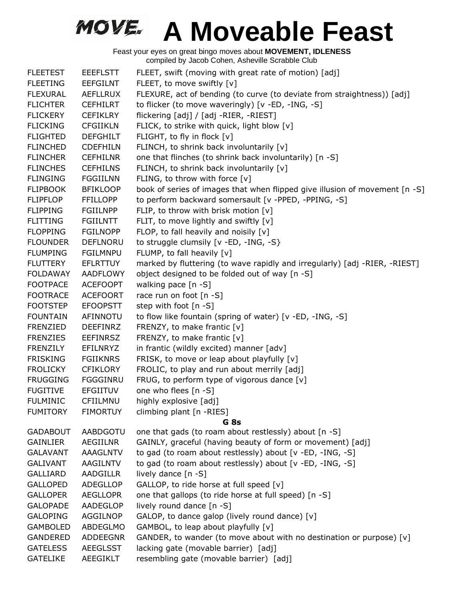| <b>FLEETEST</b> | <b>EEEFLSTT</b> | FLEET, swift (moving with great rate of motion) [adj]                       |
|-----------------|-----------------|-----------------------------------------------------------------------------|
| <b>FLEETING</b> | <b>EEFGILNT</b> | FLEET, to move swiftly [v]                                                  |
| <b>FLEXURAL</b> | <b>AEFLLRUX</b> | FLEXURE, act of bending (to curve (to deviate from straightness)) [adj]     |
| <b>FLICHTER</b> | <b>CEFHILRT</b> | to flicker (to move waveringly) [v -ED, -ING, -S]                           |
| <b>FLICKERY</b> | <b>CEFIKLRY</b> | flickering [adj] / [adj -RIER, -RIEST]                                      |
| <b>FLICKING</b> | <b>CFGIIKLN</b> | FLICK, to strike with quick, light blow [v]                                 |
| <b>FLIGHTED</b> | <b>DEFGHILT</b> | FLIGHT, to fly in flock [v]                                                 |
| <b>FLINCHED</b> | <b>CDEFHILN</b> | FLINCH, to shrink back involuntarily [v]                                    |
| <b>FLINCHER</b> | <b>CEFHILNR</b> | one that flinches (to shrink back involuntarily) [n -S]                     |
| <b>FLINCHES</b> | <b>CEFHILNS</b> | FLINCH, to shrink back involuntarily [v]                                    |
| <b>FLINGING</b> | <b>FGGIILNN</b> | FLING, to throw with force [v]                                              |
| <b>FLIPBOOK</b> | <b>BFIKLOOP</b> | book of series of images that when flipped give illusion of movement [n -S] |
| <b>FLIPFLOP</b> | <b>FFILLOPP</b> | to perform backward somersault [v -PPED, -PPING, -S]                        |
| <b>FLIPPING</b> | <b>FGIILNPP</b> | FLIP, to throw with brisk motion [v]                                        |
| <b>FLITTING</b> | <b>FGIILNTT</b> | FLIT, to move lightly and swiftly $[v]$                                     |
| <b>FLOPPING</b> | <b>FGILNOPP</b> | FLOP, to fall heavily and noisily [v]                                       |
| <b>FLOUNDER</b> | <b>DEFLNORU</b> | to struggle clumsily [v -ED, -ING, -S}                                      |
| <b>FLUMPING</b> | <b>FGILMNPU</b> | FLUMP, to fall heavily [v]                                                  |
| <b>FLUTTERY</b> | <b>EFLRTTUY</b> | marked by fluttering (to wave rapidly and irregularly) [adj -RIER, -RIEST]  |
| <b>FOLDAWAY</b> | <b>AADFLOWY</b> | object designed to be folded out of way [n -S]                              |
| <b>FOOTPACE</b> | <b>ACEFOOPT</b> | walking pace [n -S]                                                         |
| <b>FOOTRACE</b> | <b>ACEFOORT</b> | race run on foot [n -S]                                                     |
| <b>FOOTSTEP</b> | <b>EFOOPSTT</b> | step with foot [n -S]                                                       |
| <b>FOUNTAIN</b> | AFINNOTU        | to flow like fountain (spring of water) [v -ED, -ING, -S]                   |
| FRENZIED        | <b>DEEFINRZ</b> | FRENZY, to make frantic [v]                                                 |
| <b>FRENZIES</b> | <b>EEFINRSZ</b> | FRENZY, to make frantic [v]                                                 |
| <b>FRENZILY</b> | <b>EFILNRYZ</b> | in frantic (wildly excited) manner [adv]                                    |
| <b>FRISKING</b> | <b>FGIIKNRS</b> | FRISK, to move or leap about playfully [v]                                  |
| <b>FROLICKY</b> | <b>CFIKLORY</b> | FROLIC, to play and run about merrily [adj]                                 |
| <b>FRUGGING</b> | FGGGINRU        | FRUG, to perform type of vigorous dance [v]                                 |
| <b>FUGITIVE</b> | <b>EFGIITUV</b> | one who flees [n -S]                                                        |
| <b>FULMINIC</b> | CFIILMNU        | highly explosive [adj]                                                      |
| <b>FUMITORY</b> | <b>FIMORTUY</b> | climbing plant [n -RIES]                                                    |
|                 |                 | G 8s                                                                        |
| <b>GADABOUT</b> | AABDGOTU        | one that gads (to roam about restlessly) about [n -S]                       |
| <b>GAINLIER</b> | AEGIILNR        | GAINLY, graceful (having beauty of form or movement) [adj]                  |
| <b>GALAVANT</b> | AAAGLNTV        | to gad (to roam about restlessly) about [v -ED, -ING, -S]                   |
| <b>GALIVANT</b> | AAGILNTV        | to gad (to roam about restlessly) about [v -ED, -ING, -S]                   |
| <b>GALLIARD</b> | <b>AADGILLR</b> | lively dance [n -S]                                                         |
| <b>GALLOPED</b> | ADEGLLOP        | GALLOP, to ride horse at full speed [v]                                     |
| <b>GALLOPER</b> | <b>AEGLLOPR</b> | one that gallops (to ride horse at full speed) [n -S]                       |
| <b>GALOPADE</b> | AADEGLOP        | lively round dance [n -S]                                                   |
| <b>GALOPING</b> | AGGILNOP        | GALOP, to dance galop (lively round dance) [v]                              |
| <b>GAMBOLED</b> | ABDEGLMO        | GAMBOL, to leap about playfully [v]                                         |
| <b>GANDERED</b> | <b>ADDEEGNR</b> | GANDER, to wander (to move about with no destination or purpose) [v]        |
| <b>GATELESS</b> | AEEGLSST        | lacking gate (movable barrier) [adj]                                        |
| <b>GATELIKE</b> | <b>AEEGIKLT</b> | resembling gate (movable barrier) [adj]                                     |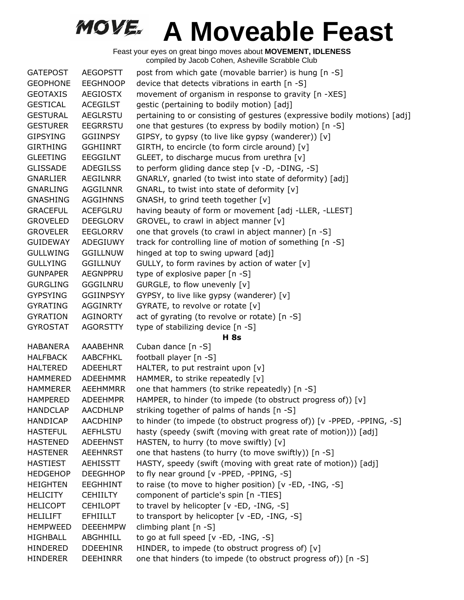| <b>GATEPOST</b> | <b>AEGOPSTT</b>  | post from which gate (movable barrier) is hung [n -S]                     |
|-----------------|------------------|---------------------------------------------------------------------------|
| <b>GEOPHONE</b> | <b>EEGHNOOP</b>  | device that detects vibrations in earth [n -S]                            |
| <b>GEOTAXIS</b> | <b>AEGIOSTX</b>  | movement of organism in response to gravity [n -XES]                      |
| <b>GESTICAL</b> | <b>ACEGILST</b>  | gestic (pertaining to bodily motion) [adj]                                |
| <b>GESTURAL</b> | <b>AEGLRSTU</b>  | pertaining to or consisting of gestures (expressive bodily motions) [adj] |
| <b>GESTURER</b> | <b>EEGRRSTU</b>  | one that gestures (to express by bodily motion) [n -S]                    |
| <b>GIPSYING</b> | GGIINPSY         | GIPSY, to gypsy (to live like gypsy (wanderer)) [v]                       |
| <b>GIRTHING</b> | <b>GGHIINRT</b>  | GIRTH, to encircle (to form circle around) [v]                            |
| <b>GLEETING</b> | <b>EEGGILNT</b>  | GLEET, to discharge mucus from urethra [v]                                |
| <b>GLISSADE</b> | <b>ADEGILSS</b>  | to perform gliding dance step [v -D, -DING, -S]                           |
| <b>GNARLIER</b> | <b>AEGILNRR</b>  | GNARLY, gnarled (to twist into state of deformity) [adj]                  |
| <b>GNARLING</b> | AGGILNNR         | GNARL, to twist into state of deformity [v]                               |
| <b>GNASHING</b> | <b>AGGIHNNS</b>  | GNASH, to grind teeth together [v]                                        |
| <b>GRACEFUL</b> | <b>ACEFGLRU</b>  | having beauty of form or movement [adj -LLER, -LLEST]                     |
| <b>GROVELED</b> | <b>DEEGLORV</b>  | GROVEL, to crawl in abject manner [v]                                     |
| <b>GROVELER</b> | <b>EEGLORRV</b>  | one that grovels (to crawl in abject manner) [n -S]                       |
| <b>GUIDEWAY</b> | ADEGIUWY         | track for controlling line of motion of something [n -S]                  |
| <b>GULLWING</b> | <b>GGILLNUW</b>  | hinged at top to swing upward [adj]                                       |
| <b>GULLYING</b> | <b>GGILLNUY</b>  | GULLY, to form ravines by action of water [v]                             |
| <b>GUNPAPER</b> | AEGNPPRU         | type of explosive paper $[n -S]$                                          |
| <b>GURGLING</b> | GGGILNRU         | GURGLE, to flow unevenly [v]                                              |
| <b>GYPSYING</b> | <b>GGIINPSYY</b> | GYPSY, to live like gypsy (wanderer) [v]                                  |
| <b>GYRATING</b> | <b>AGGINRTY</b>  | GYRATE, to revolve or rotate [v]                                          |
| <b>GYRATION</b> | <b>AGINORTY</b>  | act of gyrating (to revolve or rotate) [n -S]                             |
| <b>GYROSTAT</b> | <b>AGORSTTY</b>  | type of stabilizing device [n -S]                                         |
|                 |                  | <b>H</b> 8s                                                               |
| <b>HABANERA</b> | <b>AAABEHNR</b>  | Cuban dance [n -S]                                                        |
| <b>HALFBACK</b> | <b>AABCFHKL</b>  | football player [n -S]                                                    |
| <b>HALTERED</b> | <b>ADEEHLRT</b>  | HALTER, to put restraint upon [v]                                         |
| <b>HAMMERED</b> | <b>ADEEHMMR</b>  | HAMMER, to strike repeatedly [v]                                          |
| <b>HAMMERER</b> | <b>AEEHMMRR</b>  | one that hammers (to strike repeatedly) [n -S]                            |
| <b>HAMPERED</b> | <b>ADEEHMPR</b>  | HAMPER, to hinder (to impede (to obstruct progress of)) [v]               |
| <b>HANDCLAP</b> | <b>AACDHLNP</b>  | striking together of palms of hands [n -S]                                |
| <b>HANDICAP</b> | <b>AACDHINP</b>  | to hinder (to impede (to obstruct progress of)) [v -PPED, -PPING, -S]     |
| <b>HASTEFUL</b> | <b>AEFHLSTU</b>  | hasty (speedy (swift (moving with great rate of motion))) [adj]           |
| <b>HASTENED</b> | <b>ADEEHNST</b>  | HASTEN, to hurry (to move swiftly) [v]                                    |
| <b>HASTENER</b> | <b>AEEHNRST</b>  | one that hastens (to hurry (to move swiftly)) [n -S]                      |
| <b>HASTIEST</b> | <b>AEHISSTT</b>  | HASTY, speedy (swift (moving with great rate of motion)) [adj]            |
| <b>HEDGEHOP</b> | <b>DEEGHHOP</b>  | to fly near ground [v -PPED, -PPING, -S]                                  |
| <b>HEIGHTEN</b> | <b>EEGHHINT</b>  | to raise (to move to higher position) [v -ED, -ING, -S]                   |
| <b>HELICITY</b> | <b>CEHIILTY</b>  | component of particle's spin [n -TIES]                                    |
| <b>HELICOPT</b> | <b>CEHILOPT</b>  | to travel by helicopter [v -ED, -ING, -S]                                 |
| <b>HELILIFT</b> | <b>EFHIILLT</b>  | to transport by helicopter [v -ED, -ING, -S]                              |
| <b>HEMPWEED</b> | <b>DEEEHMPW</b>  | climbing plant [n -S]                                                     |
| <b>HIGHBALL</b> | ABGHHILL         | to go at full speed [v -ED, -ING, -S]                                     |
| <b>HINDERED</b> | <b>DDEEHINR</b>  | HINDER, to impede (to obstruct progress of) [v]                           |
| <b>HINDERER</b> | <b>DEEHINRR</b>  | one that hinders (to impede (to obstruct progress of)) [n -S]             |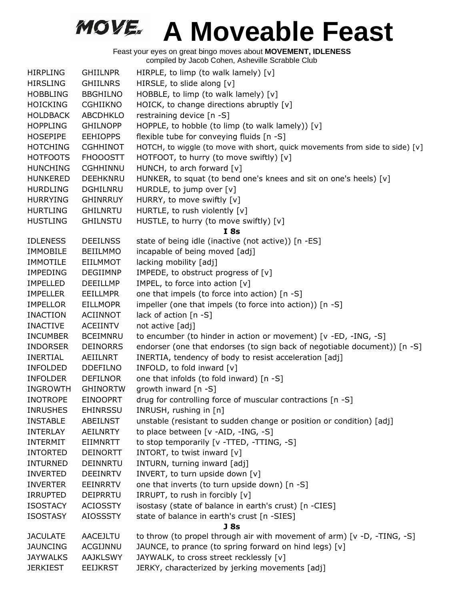| <b>HIRPLING</b> | <b>GHIILNPR</b> | HIRPLE, to limp (to walk lamely) [v]                                         |
|-----------------|-----------------|------------------------------------------------------------------------------|
| <b>HIRSLING</b> | <b>GHIILNRS</b> | HIRSLE, to slide along [v]                                                   |
| <b>HOBBLING</b> | <b>BBGHILNO</b> | HOBBLE, to limp (to walk lamely) $[v]$                                       |
| <b>HOICKING</b> | <b>CGHIIKNO</b> | HOICK, to change directions abruptly [v]                                     |
| <b>HOLDBACK</b> | <b>ABCDHKLO</b> | restraining device [n -S]                                                    |
| <b>HOPPLING</b> | <b>GHILNOPP</b> | HOPPLE, to hobble (to limp (to walk lamely)) $[v]$                           |
| <b>HOSEPIPE</b> | <b>EEHIOPPS</b> | flexible tube for conveying fluids [n -S]                                    |
| <b>HOTCHING</b> | <b>CGHHINOT</b> | HOTCH, to wiggle (to move with short, quick movements from side to side) [v] |
| <b>HOTFOOTS</b> | <b>FHOOOSTT</b> | HOTFOOT, to hurry (to move swiftly) [v]                                      |
| <b>HUNCHING</b> | <b>CGHHINNU</b> | HUNCH, to arch forward [v]                                                   |
| <b>HUNKERED</b> | <b>DEEHKNRU</b> | HUNKER, to squat (to bend one's knees and sit on one's heels) [v]            |
| <b>HURDLING</b> | DGHILNRU        | HURDLE, to jump over [v]                                                     |
| <b>HURRYING</b> | <b>GHINRRUY</b> | HURRY, to move swiftly [v]                                                   |
| <b>HURTLING</b> | <b>GHILNRTU</b> | HURTLE, to rush violently [v]                                                |
| <b>HUSTLING</b> | <b>GHILNSTU</b> | HUSTLE, to hurry (to move swiftly) [v]                                       |
|                 |                 | I8s                                                                          |
| <b>IDLENESS</b> | <b>DEEILNSS</b> | state of being idle (inactive (not active)) [n -ES]                          |
| <b>IMMOBILE</b> | <b>BEIILMMO</b> | incapable of being moved [adj]                                               |
| <b>IMMOTILE</b> | <b>EIILMMOT</b> | lacking mobility [adj]                                                       |
| <b>IMPEDING</b> | <b>DEGIIMNP</b> | IMPEDE, to obstruct progress of [v]                                          |
| <b>IMPELLED</b> | <b>DEEILLMP</b> | IMPEL, to force into action [v]                                              |
| <b>IMPELLER</b> | <b>EEILLMPR</b> | one that impels (to force into action) [n -S]                                |
| <b>IMPELLOR</b> | <b>EILLMOPR</b> | impeller (one that impels (to force into action)) [n -S]                     |
| <b>INACTION</b> | <b>ACIINNOT</b> | lack of action [n -S]                                                        |
| <b>INACTIVE</b> | <b>ACEIINTV</b> | not active [adj]                                                             |
| <b>INCUMBER</b> | <b>BCEIMNRU</b> | to encumber (to hinder in action or movement) [v -ED, -ING, -S]              |
| <b>INDORSER</b> | <b>DEINORRS</b> | endorser (one that endorses (to sign back of negotiable document)) [n -S]    |
| <b>INERTIAL</b> | AEIILNRT        | INERTIA, tendency of body to resist acceleration [adj]                       |
| <b>INFOLDED</b> | <b>DDEFILNO</b> | INFOLD, to fold inward [v]                                                   |
| <b>INFOLDER</b> | <b>DEFILNOR</b> | one that infolds (to fold inward) [n -S]                                     |
| <b>INGROWTH</b> | <b>GHINORTW</b> | growth inward [n -S]                                                         |
| <b>INOTROPE</b> | <b>EINOOPRT</b> | drug for controlling force of muscular contractions [n -S]                   |
| <b>INRUSHES</b> | <b>EHINRSSU</b> | INRUSH, rushing in [n]                                                       |
| <b>INSTABLE</b> | ABEILNST        | unstable (resistant to sudden change or position or condition) [adj]         |
| <b>INTERLAY</b> | AEILNRTY        | to place between [v -AID, -ING, -S]                                          |
| <b>INTERMIT</b> | <b>EIIMNRTT</b> | to stop temporarily [v -TTED, -TTING, -S]                                    |
| <b>INTORTED</b> | <b>DEINORTT</b> | INTORT, to twist inward [v]                                                  |
| <b>INTURNED</b> | <b>DEINNRTU</b> | INTURN, turning inward [adj]                                                 |
| <b>INVERTED</b> | <b>DEEINRTV</b> | INVERT, to turn upside down [v]                                              |
| <b>INVERTER</b> | <b>EEINRRTV</b> | one that inverts (to turn upside down) [n -S]                                |
| <b>IRRUPTED</b> | <b>DEIPRRTU</b> | IRRUPT, to rush in forcibly [v]                                              |
| <b>ISOSTACY</b> | <b>ACIOSSTY</b> | isostasy (state of balance in earth's crust) [n -CIES]                       |
| <b>ISOSTASY</b> | <b>AIOSSSTY</b> | state of balance in earth's crust [n -SIES]                                  |
|                 |                 | J <sub>8s</sub>                                                              |
| <b>JACULATE</b> | <b>AACEJLTU</b> | to throw (to propel through air with movement of arm) [v -D, -TING, -S]      |
| <b>JAUNCING</b> | ACGIJNNU        | JAUNCE, to prance (to spring forward on hind legs) [v]                       |
| <b>JAYWALKS</b> | <b>AAJKLSWY</b> | JAYWALK, to cross street recklessly [v]                                      |
| <b>JERKIEST</b> | <b>EEIJKRST</b> | JERKY, characterized by jerking movements [adj]                              |
|                 |                 |                                                                              |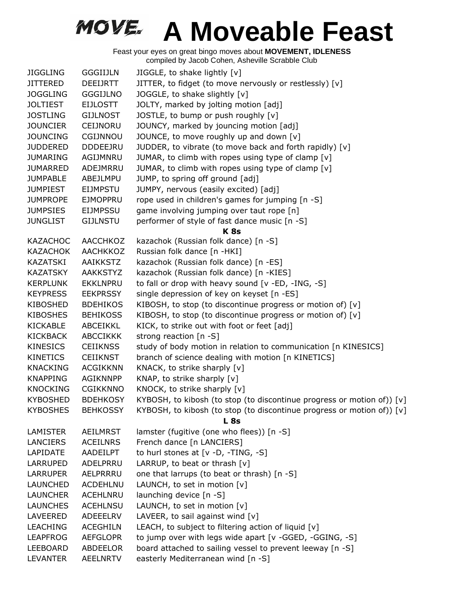| <b>JIGGLING</b> | <b>GGGIIJLN</b> | JIGGLE, to shake lightly [v]                                           |
|-----------------|-----------------|------------------------------------------------------------------------|
| <b>JITTERED</b> | DEEIJRTT        | JITTER, to fidget (to move nervously or restlessly) [v]                |
| <b>JOGGLING</b> | <b>GGGIJLNO</b> | JOGGLE, to shake slightly [v]                                          |
| <b>JOLTIEST</b> | <b>EIJLOSTT</b> | JOLTY, marked by jolting motion [adj]                                  |
| <b>JOSTLING</b> | <b>GIJLNOST</b> | JOSTLE, to bump or push roughly [v]                                    |
| <b>JOUNCIER</b> | CEIJNORU        | JOUNCY, marked by jouncing motion [adj]                                |
| <b>JOUNCING</b> | CGIJNNOU        | JOUNCE, to move roughly up and down [v]                                |
| <b>JUDDERED</b> | <b>DDDEEJRU</b> | JUDDER, to vibrate (to move back and forth rapidly) [v]                |
| <b>JUMARING</b> | AGIJMNRU        | JUMAR, to climb with ropes using type of clamp [v]                     |
| <b>JUMARRED</b> | ADEJMRRU        | JUMAR, to climb with ropes using type of clamp [v]                     |
| <b>JUMPABLE</b> | ABEJLMPU        | JUMP, to spring off ground [adj]                                       |
| <b>JUMPIEST</b> | <b>EIJMPSTU</b> | JUMPY, nervous (easily excited) [adj]                                  |
| <b>JUMPROPE</b> | <b>EJMOPPRU</b> | rope used in children's games for jumping [n -S]                       |
| <b>JUMPSIES</b> | <b>EIJMPSSU</b> | game involving jumping over taut rope [n]                              |
| <b>JUNGLIST</b> | <b>GIJLNSTU</b> | performer of style of fast dance music [n -S]                          |
|                 |                 | <b>K8s</b>                                                             |
| <b>KAZACHOC</b> | <b>AACCHKOZ</b> | kazachok (Russian folk dance) [n -S]                                   |
| <b>KAZACHOK</b> | <b>AACHKKOZ</b> | Russian folk dance [n -HKI]                                            |
| KAZATSKI        | AAIKKSTZ        | kazachok (Russian folk dance) [n -ES]                                  |
| <b>KAZATSKY</b> | AAKKSTYZ        | kazachok (Russian folk dance) [n -KIES]                                |
| <b>KERPLUNK</b> | <b>EKKLNPRU</b> | to fall or drop with heavy sound [v -ED, -ING, -S]                     |
| <b>KEYPRESS</b> | <b>EEKPRSSY</b> | single depression of key on keyset [n -ES]                             |
| <b>KIBOSHED</b> | <b>BDEHIKOS</b> | KIBOSH, to stop (to discontinue progress or motion of) [v]             |
| <b>KIBOSHES</b> | <b>BEHIKOSS</b> | KIBOSH, to stop (to discontinue progress or motion of) [v]             |
| <b>KICKABLE</b> | ABCEIKKL        | KICK, to strike out with foot or feet [adj]                            |
| <b>KICKBACK</b> | <b>ABCCIKKK</b> | strong reaction $[n - S]$                                              |
| <b>KINESICS</b> | <b>CEIIKNSS</b> | study of body motion in relation to communication [n KINESICS]         |
| <b>KINETICS</b> | <b>CEIIKNST</b> | branch of science dealing with motion [n KINETICS]                     |
| <b>KNACKING</b> | <b>ACGIKKNN</b> | KNACK, to strike sharply [v]                                           |
| <b>KNAPPING</b> | <b>AGIKNNPP</b> | KNAP, to strike sharply [v]                                            |
| <b>KNOCKING</b> | <b>CGIKKNNO</b> | KNOCK, to strike sharply [v]                                           |
| <b>KYBOSHED</b> | <b>BDEHKOSY</b> | KYBOSH, to kibosh (to stop (to discontinue progress or motion of)) [v] |
| <b>KYBOSHES</b> | <b>BEHKOSSY</b> | KYBOSH, to kibosh (to stop (to discontinue progress or motion of)) [v] |
|                 |                 | <b>L</b> 8s                                                            |
| <b>LAMISTER</b> | AEILMRST        | lamster (fugitive (one who flees)) [n -S]                              |
| <b>LANCIERS</b> | <b>ACEILNRS</b> | French dance [n LANCIERS]                                              |
| LAPIDATE        | AADEILPT        | to hurl stones at $[v -D, -TING, -S]$                                  |
| <b>LARRUPED</b> | ADELPRRU        | LARRUP, to beat or thrash [v]                                          |
| <b>LARRUPER</b> | AELPRRRU        | one that larrups (to beat or thrash) [n -S]                            |
| <b>LAUNCHED</b> | <b>ACDEHLNU</b> | LAUNCH, to set in motion [v]                                           |
| <b>LAUNCHER</b> | ACEHLNRU        | launching device [n -S]                                                |
| <b>LAUNCHES</b> | <b>ACEHLNSU</b> | LAUNCH, to set in motion [v]                                           |
| LAVEERED        | ADEEELRV        | LAVEER, to sail against wind $[v]$                                     |
| <b>LEACHING</b> | <b>ACEGHILN</b> | LEACH, to subject to filtering action of liquid [v]                    |
| <b>LEAPFROG</b> | <b>AEFGLOPR</b> | to jump over with legs wide apart [v -GGED, -GGING, -S]                |
| LEEBOARD        | ABDEELOR        | board attached to sailing vessel to prevent leeway [n -S]              |
| <b>LEVANTER</b> | <b>AEELNRTV</b> | easterly Mediterranean wind [n -S]                                     |
|                 |                 |                                                                        |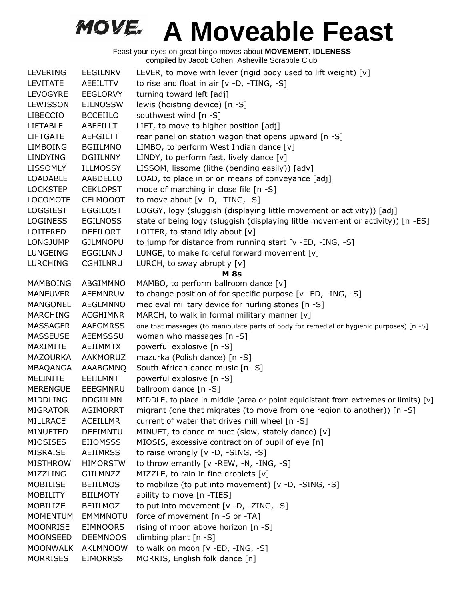| <b>LEVERING</b>             | EEGILNRV        | LEVER, to move with lever (rigid body used to lift weight) [v]                           |
|-----------------------------|-----------------|------------------------------------------------------------------------------------------|
| <b>LEVITATE</b>             | AEEILTTV        | to rise and float in air $[v -D, -TING, -S]$                                             |
| LEVOGYRE                    | <b>EEGLORVY</b> | turning toward left [adj]                                                                |
| LEWISSON                    | <b>EILNOSSW</b> | lewis (hoisting device) [n -S]                                                           |
| <b>LIBECCIO</b>             | <b>BCCEIILO</b> | southwest wind [n -S]                                                                    |
| <b>LIFTABLE</b>             | ABEFILLT        | LIFT, to move to higher position [adj]                                                   |
| <b>LIFTGATE</b>             | AEFGILTT        | rear panel on station wagon that opens upward [n -S]                                     |
| <b>LIMBOING</b>             | <b>BGIILMNO</b> | LIMBO, to perform West Indian dance [v]                                                  |
| LINDYING                    | <b>DGIILNNY</b> | LINDY, to perform fast, lively dance [v]                                                 |
| <b>LISSOMLY</b>             | <b>ILLMOSSY</b> | LISSOM, lissome (lithe (bending easily)) [adv]                                           |
| <b>LOADABLE</b>             | AABDELLO        | LOAD, to place in or on means of conveyance [adj]                                        |
| <b>LOCKSTEP</b>             | <b>CEKLOPST</b> | mode of marching in close file [n -S]                                                    |
| <b>LOCOMOTE</b>             | <b>CELMOOOT</b> | to move about $[v -D, -TING, -S]$                                                        |
| <b>LOGGIEST</b>             | <b>EGGILOST</b> | LOGGY, logy (sluggish (displaying little movement or activity)) [adj]                    |
| <b>LOGINESS</b>             | <b>EGILNOSS</b> | state of being logy (sluggish (displaying little movement or activity)) [n -ES]          |
| LOITERED                    | <b>DEEILORT</b> | LOITER, to stand idly about $[v]$                                                        |
| <b>LONGJUMP</b>             | <b>GJLMNOPU</b> | to jump for distance from running start [v -ED, -ING, -S]                                |
|                             | EGGILNNU        |                                                                                          |
| LUNGEING<br><b>LURCHING</b> | <b>CGHILNRU</b> | LUNGE, to make forceful forward movement [v]<br>LURCH, to sway abruptly [v]              |
|                             |                 | <b>M</b> 8s                                                                              |
| MAMBOING                    | ABGIMMNO        | MAMBO, to perform ballroom dance [v]                                                     |
| <b>MANEUVER</b>             | AEEMNRUV        | to change position of for specific purpose [v -ED, -ING, -S]                             |
| MANGONEL                    | <b>AEGLMNNO</b> | medieval military device for hurling stones [n -S]                                       |
| <b>MARCHING</b>             | <b>ACGHIMNR</b> | MARCH, to walk in formal military manner [v]                                             |
| MASSAGER                    | <b>AAEGMRSS</b> | one that massages (to manipulate parts of body for remedial or hygienic purposes) [n -S] |
| <b>MASSEUSE</b>             | <b>AEEMSSSU</b> | woman who massages [n -S]                                                                |
| MAXIMITE                    | AEIIMMTX        | powerful explosive [n -S]                                                                |
| <b>MAZOURKA</b>             | AAKMORUZ        | mazurka (Polish dance) [n -S]                                                            |
| MBAQANGA                    | AAABGMNQ        | South African dance music [n -S]                                                         |
| <b>MELINITE</b>             | EEIILMNT        | powerful explosive [n -S]                                                                |
| <b>MERENGUE</b>             | EEEGMNRU        | ballroom dance [n -S]                                                                    |
| MIDDLING                    | <b>DDGIILMN</b> | MIDDLE, to place in middle (area or point equidistant from extremes or limits) [v]       |
| <b>MIGRATOR</b>             | <b>AGIMORRT</b> | migrant (one that migrates (to move from one region to another)) $[n -S]$                |
| MILLRACE                    | <b>ACEILLMR</b> | current of water that drives mill wheel [n -S]                                           |
| MINUETED                    | <b>DEEIMNTU</b> | MINUET, to dance minuet (slow, stately dance) [v]                                        |
| MIOSISES                    | <b>EIIOMSSS</b> | MIOSIS, excessive contraction of pupil of eye [n]                                        |
| MISRAISE                    | <b>AEIIMRSS</b> | to raise wrongly [v -D, -SING, -S]                                                       |
| <b>MISTHROW</b>             | <b>HIMORSTW</b> | to throw errantly $[v - REW, -N, -ING, -S]$                                              |
| MIZZLING                    | GIILMNZZ        | MIZZLE, to rain in fine droplets [v]                                                     |
| MOBILISE                    | <b>BEIILMOS</b> | to mobilize (to put into movement) [v -D, -SING, -S]                                     |
| <b>MOBILITY</b>             | <b>BIILMOTY</b> | ability to move [n -TIES]                                                                |
| MOBILIZE                    | <b>BEIILMOZ</b> | to put into movement [v -D, -ZING, -S]                                                   |
| <b>MOMENTUM</b>             | <b>EMMMNOTU</b> | force of movement [n -S or -TA]                                                          |
| <b>MOONRISE</b>             | <b>EIMNOORS</b> | rising of moon above horizon [n -S]                                                      |
| MOONSEED                    | <b>DEEMNOOS</b> |                                                                                          |
|                             |                 | climbing plant [n -S]                                                                    |
| <b>MOONWALK</b>             | AKLMNOOW        | to walk on moon [v -ED, -ING, -S]                                                        |
| <b>MORRISES</b>             | <b>EIMORRSS</b> | MORRIS, English folk dance [n]                                                           |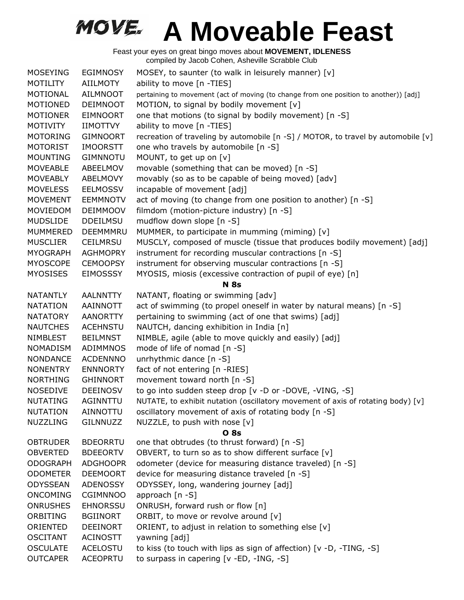| <b>MOSEYING</b> | <b>EGIMNOSY</b> | MOSEY, to saunter (to walk in leisurely manner) [v]                                   |
|-----------------|-----------------|---------------------------------------------------------------------------------------|
| <b>MOTILITY</b> | AIILMOTY        | ability to move [n -TIES]                                                             |
| MOTIONAL        | <b>AILMNOOT</b> | pertaining to movement (act of moving (to change from one position to another)) [adj] |
| MOTIONED        | <b>DEIMNOOT</b> | MOTION, to signal by bodily movement [v]                                              |
| <b>MOTIONER</b> | <b>EIMNOORT</b> | one that motions (to signal by bodily movement) [n -S]                                |
| <b>MOTIVITY</b> | <b>IIMOTTVY</b> | ability to move [n -TIES]                                                             |
| <b>MOTORING</b> | <b>GIMNOORT</b> | recreation of traveling by automobile [n -S] / MOTOR, to travel by automobile [v]     |
| <b>MOTORIST</b> | <b>IMOORSTT</b> | one who travels by automobile [n -S]                                                  |
| <b>MOUNTING</b> | <b>GIMNNOTU</b> | MOUNT, to get up on [v]                                                               |
| <b>MOVEABLE</b> | ABEELMOV        | movable (something that can be moved) [n -S]                                          |
| <b>MOVEABLY</b> | ABELMOVY        | movably (so as to be capable of being moved) [adv]                                    |
| <b>MOVELESS</b> | EELMOSSV        | incapable of movement [adj]                                                           |
| <b>MOVEMENT</b> | <b>EEMMNOTV</b> | act of moving (to change from one position to another) [n -S]                         |
| MOVIEDOM        | <b>DEIMMOOV</b> | filmdom (motion-picture industry) [n -S]                                              |
| <b>MUDSLIDE</b> | <b>DDEILMSU</b> | mudflow down slope [n -S]                                                             |
| <b>MUMMERED</b> | DEEMMMRU        | MUMMER, to participate in mumming (miming) [v]                                        |
| <b>MUSCLIER</b> | <b>CEILMRSU</b> | MUSCLY, composed of muscle (tissue that produces bodily movement) [adj]               |
| <b>MYOGRAPH</b> | <b>AGHMOPRY</b> | instrument for recording muscular contractions [n -S]                                 |
| <b>MYOSCOPE</b> | <b>CEMOOPSY</b> | instrument for observing muscular contractions [n -S]                                 |
| <b>MYOSISES</b> | <b>EIMOSSSY</b> | MYOSIS, miosis (excessive contraction of pupil of eye) [n]                            |
|                 |                 | <b>N</b> 8s                                                                           |
| <b>NATANTLY</b> | <b>AALNNTTY</b> | NATANT, floating or swimming [adv]                                                    |
| <b>NATATION</b> | AAINNOTT        | act of swimming (to propel oneself in water by natural means) [n -S]                  |
| <b>NATATORY</b> | <b>AANORTTY</b> | pertaining to swimming (act of one that swims) [adj]                                  |
| <b>NAUTCHES</b> | <b>ACEHNSTU</b> | NAUTCH, dancing exhibition in India [n]                                               |
| NIMBLEST        | <b>BEILMNST</b> | NIMBLE, agile (able to move quickly and easily) [adj]                                 |
| <b>NOMADISM</b> | <b>ADIMMNOS</b> | mode of life of nomad [n -S]                                                          |
| <b>NONDANCE</b> | <b>ACDENNNO</b> | unrhythmic dance [n -S]                                                               |
| <b>NONENTRY</b> | <b>ENNNORTY</b> | fact of not entering [n -RIES]                                                        |
| <b>NORTHING</b> | <b>GHINNORT</b> | movement toward north [n -S]                                                          |
| <b>NOSEDIVE</b> | <b>DEEINOSV</b> | to go into sudden steep drop [v -D or -DOVE, -VING, -S]                               |
| <b>NUTATING</b> | <b>AGINNTTU</b> | NUTATE, to exhibit nutation (oscillatory movement of axis of rotating body) [v]       |
| <b>NUTATION</b> | AINNOTTU        | oscillatory movement of axis of rotating body [n -S]                                  |
| <b>NUZZLING</b> | GILNNUZZ        | NUZZLE, to push with nose [v]                                                         |
|                 |                 | <b>O</b> 8s                                                                           |
| <b>OBTRUDER</b> | <b>BDEORRTU</b> | one that obtrudes (to thrust forward) [n -S]                                          |
| <b>OBVERTED</b> | <b>BDEEORTV</b> | OBVERT, to turn so as to show different surface [v]                                   |
| <b>ODOGRAPH</b> | <b>ADGHOOPR</b> | odometer (device for measuring distance traveled) [n -S]                              |
| <b>ODOMETER</b> | <b>DEEMOORT</b> | device for measuring distance traveled [n -S]                                         |
| ODYSSEAN        | ADENOSSY        | ODYSSEY, long, wandering journey [adj]                                                |
| <b>ONCOMING</b> | <b>CGIMNNOO</b> | approach [n -S]                                                                       |
| <b>ONRUSHES</b> | <b>EHNORSSU</b> | ONRUSH, forward rush or flow [n]                                                      |
| ORBITING        | <b>BGIINORT</b> | ORBIT, to move or revolve around [v]                                                  |
| ORIENTED        | <b>DEEINORT</b> | ORIENT, to adjust in relation to something else [v]                                   |
| <b>OSCITANT</b> | <b>ACINOSTT</b> | yawning [adj]                                                                         |
| <b>OSCULATE</b> | <b>ACELOSTU</b> | to kiss (to touch with lips as sign of affection) [v -D, -TING, -S]                   |
| <b>OUTCAPER</b> | <b>ACEOPRTU</b> | to surpass in capering [v -ED, -ING, -S]                                              |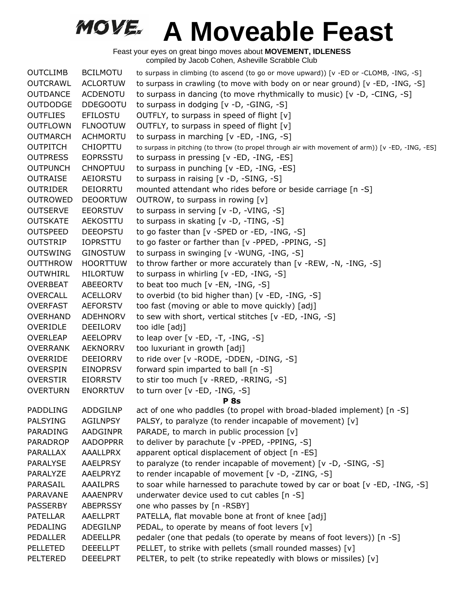| <b>OUTCLIMB</b> | <b>BCILMOTU</b> | to surpass in climbing (to ascend (to go or move upward)) [v -ED or -CLOMB, -ING, -S]             |
|-----------------|-----------------|---------------------------------------------------------------------------------------------------|
| <b>OUTCRAWL</b> | <b>ACLORTUW</b> | to surpass in crawling (to move with body on or near ground) [v -ED, -ING, -S]                    |
| <b>OUTDANCE</b> | ACDENOTU        | to surpass in dancing (to move rhythmically to music) $[v -D, -CING, -S]$                         |
| <b>OUTDODGE</b> | <b>DDEGOOTU</b> | to surpass in dodging [v -D, -GING, -S]                                                           |
| <b>OUTFLIES</b> | <b>EFILOSTU</b> | OUTFLY, to surpass in speed of flight $[v]$                                                       |
| <b>OUTFLOWN</b> | <b>FLNOOTUW</b> | OUTFLY, to surpass in speed of flight [v]                                                         |
| <b>OUTMARCH</b> | <b>ACHMORTU</b> | to surpass in marching [v -ED, -ING, -S]                                                          |
| <b>OUTPITCH</b> | <b>CHIOPTTU</b> | to surpass in pitching (to throw (to propel through air with movement of arm)) [v -ED, -ING, -ES] |
| <b>OUTPRESS</b> | <b>EOPRSSTU</b> | to surpass in pressing [v -ED, -ING, -ES]                                                         |
| <b>OUTPUNCH</b> | <b>CHNOPTUU</b> | to surpass in punching [v -ED, -ING, -ES]                                                         |
| <b>OUTRAISE</b> | AEIORSTU        | to surpass in raising $[v -D, -SING, -S]$                                                         |
| <b>OUTRIDER</b> | DEIORRTU        | mounted attendant who rides before or beside carriage [n -S]                                      |
| <b>OUTROWED</b> | <b>DEOORTUW</b> | OUTROW, to surpass in rowing [v]                                                                  |
| <b>OUTSERVE</b> | <b>EEORSTUV</b> | to surpass in serving [v -D, -VING, -S]                                                           |
| <b>OUTSKATE</b> | AEKOSTTU        | to surpass in skating [v -D, -TING, -S]                                                           |
| <b>OUTSPEED</b> | <b>DEEOPSTU</b> | to go faster than [v -SPED or -ED, -ING, -S]                                                      |
| <b>OUTSTRIP</b> | <b>IOPRSTTU</b> | to go faster or farther than [v -PPED, -PPING, -S]                                                |
| <b>OUTSWING</b> | <b>GINOSTUW</b> | to surpass in swinging [v -WUNG, -ING, -S]                                                        |
| <b>OUTTHROW</b> | <b>HOORTTUW</b> | to throw farther or more accurately than [v -REW, -N, -ING, -S]                                   |
| <b>OUTWHIRL</b> | <b>HILORTUW</b> | to surpass in whirling $[v - ED, -ING, -S]$                                                       |
| <b>OVERBEAT</b> | ABEEORTV        | to beat too much [v -EN, -ING, -S]                                                                |
| OVERCALL        | <b>ACELLORV</b> | to overbid (to bid higher than) [v -ED, -ING, -S]                                                 |
| <b>OVERFAST</b> | <b>AEFORSTV</b> | too fast (moving or able to move quickly) [adj]                                                   |
| <b>OVERHAND</b> | <b>ADEHNORV</b> | to sew with short, vertical stitches [v -ED, -ING, -S]                                            |
| OVERIDLE        | DEEILORV        | too idle [adj]                                                                                    |
| <b>OVERLEAP</b> | <b>AEELOPRV</b> | to leap over $[v - ED, -T, -ING, -S]$                                                             |
| <b>OVERRANK</b> | <b>AEKNORRV</b> | too luxuriant in growth [adj]                                                                     |
| <b>OVERRIDE</b> | <b>DEEIORRV</b> | to ride over [v - RODE, - DDEN, - DING, - S]                                                      |
| <b>OVERSPIN</b> | <b>EINOPRSV</b> | forward spin imparted to ball [n -S]                                                              |
| <b>OVERSTIR</b> | <b>EIORRSTV</b> | to stir too much [v -RRED, -RRING, -S]                                                            |
| <b>OVERTURN</b> | <b>ENORRTUV</b> | to turn over [v -ED, -ING, -S]                                                                    |
|                 |                 | <b>P</b> 8s                                                                                       |
|                 |                 | PADDLING ADDGILNP act of one who paddles (to propel with broad-bladed implement) [n -S]           |
| <b>PALSYING</b> | <b>AGILNPSY</b> | PALSY, to paralyze (to render incapable of movement) [v]                                          |
| PARADING        | <b>AADGINPR</b> | PARADE, to march in public procession [v]                                                         |
| <b>PARADROP</b> | <b>AADOPPRR</b> | to deliver by parachute [v -PPED, -PPING, -S]                                                     |
| PARALLAX        | AAALLPRX        | apparent optical displacement of object [n -ES]                                                   |
| <b>PARALYSE</b> | <b>AAELPRSY</b> | to paralyze (to render incapable of movement) [v -D, -SING, -S]                                   |
| PARALYZE        | AAELPRYZ        | to render incapable of movement [v -D, -ZING, -S]                                                 |
| PARASAIL        | AAAILPRS        | to soar while harnessed to parachute towed by car or boat [v -ED, -ING, -S]                       |
| PARAVANE        | <b>AAAENPRV</b> | underwater device used to cut cables [n -S]                                                       |
| <b>PASSERBY</b> | <b>ABEPRSSY</b> | one who passes by [n -RSBY]                                                                       |
| <b>PATELLAR</b> | AAELLPRT        | PATELLA, flat movable bone at front of knee [adj]                                                 |
| PEDALING        | ADEGILNP        | PEDAL, to operate by means of foot levers [v]                                                     |
| PEDALLER        | <b>ADEELLPR</b> | pedaler (one that pedals (to operate by means of foot levers)) [n -S]                             |
| PELLETED        | <b>DEEELLPT</b> | PELLET, to strike with pellets (small rounded masses) [v]                                         |
| <b>PELTERED</b> | <b>DEEELPRT</b> | PELTER, to pelt (to strike repeatedly with blows or missiles) [v]                                 |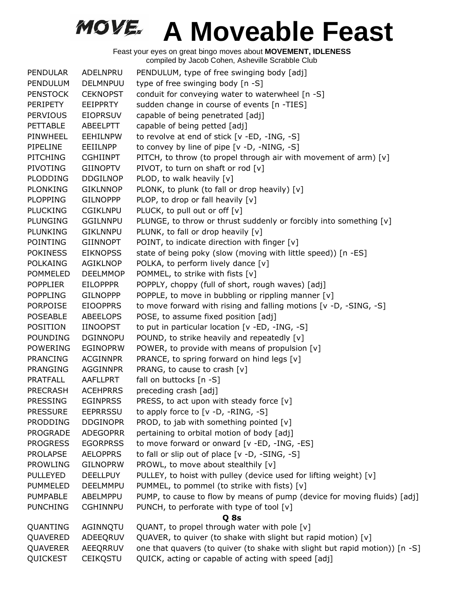| PENDULAR        | ADELNPRU        | PENDULUM, type of free swinging body [adj]                                  |
|-----------------|-----------------|-----------------------------------------------------------------------------|
| PENDULUM        | <b>DELMNPUU</b> | type of free swinging body [n -S]                                           |
| <b>PENSTOCK</b> | <b>CEKNOPST</b> | conduit for conveying water to waterwheel [n -S]                            |
| PERIPETY        | EEIPPRTY        | sudden change in course of events [n -TIES]                                 |
| <b>PERVIOUS</b> | <b>EIOPRSUV</b> | capable of being penetrated [adj]                                           |
| <b>PETTABLE</b> | ABEELPTT        | capable of being petted [adj]                                               |
| PINWHEEL        | <b>EEHILNPW</b> | to revolve at end of stick [v -ED, -ING, -S]                                |
| PIPELINE        | EEIILNPP        | to convey by line of pipe [v -D, -NING, -S]                                 |
| <b>PITCHING</b> | <b>CGHIINPT</b> | PITCH, to throw (to propel through air with movement of arm) [v]            |
| <b>PIVOTING</b> | <b>GIINOPTV</b> | PIVOT, to turn on shaft or rod [v]                                          |
| <b>PLODDING</b> | <b>DDGILNOP</b> | PLOD, to walk heavily [v]                                                   |
| <b>PLONKING</b> | <b>GIKLNNOP</b> | PLONK, to plunk (to fall or drop heavily) [v]                               |
| <b>PLOPPING</b> | <b>GILNOPPP</b> | PLOP, to drop or fall heavily [v]                                           |
| <b>PLUCKING</b> | <b>CGIKLNPU</b> | PLUCK, to pull out or off [v]                                               |
| <b>PLUNGING</b> | <b>GGILNNPU</b> | PLUNGE, to throw or thrust suddenly or forcibly into something [v]          |
| PLUNKING        | <b>GIKLNNPU</b> | PLUNK, to fall or drop heavily [v]                                          |
| POINTING        | <b>GIINNOPT</b> | POINT, to indicate direction with finger [v]                                |
| <b>POKINESS</b> | <b>EIKNOPSS</b> | state of being poky (slow (moving with little speed)) [n -ES]               |
| <b>POLKAING</b> | AGIKLNOP        | POLKA, to perform lively dance [v]                                          |
| <b>POMMELED</b> | <b>DEELMMOP</b> | POMMEL, to strike with fists [v]                                            |
| <b>POPPLIER</b> | <b>EILOPPPR</b> | POPPLY, choppy (full of short, rough waves) [adj]                           |
| <b>POPPLING</b> | <b>GILNOPPP</b> | POPPLE, to move in bubbling or rippling manner [v]                          |
| <b>PORPOISE</b> | <b>EIOOPPRS</b> | to move forward with rising and falling motions [v -D, -SING, -S]           |
| <b>POSEABLE</b> | <b>ABEELOPS</b> | POSE, to assume fixed position [adj]                                        |
| <b>POSITION</b> | <b>IINOOPST</b> | to put in particular location [v -ED, -ING, -S]                             |
| POUNDING        | <b>DGINNOPU</b> | POUND, to strike heavily and repeatedly [v]                                 |
| <b>POWERING</b> | <b>EGINOPRW</b> | POWER, to provide with means of propulsion [v]                              |
| <b>PRANCING</b> | <b>ACGINNPR</b> | PRANCE, to spring forward on hind legs [v]                                  |
| <b>PRANGING</b> | <b>AGGINNPR</b> | PRANG, to cause to crash [v]                                                |
| <b>PRATFALL</b> | AAFLLPRT        | fall on buttocks [n -S]                                                     |
| <b>PRECRASH</b> | <b>ACEHPRRS</b> | preceding crash [adj]                                                       |
| <b>PRESSING</b> | <b>EGINPRSS</b> | PRESS, to act upon with steady force [v]                                    |
| <b>PRESSURE</b> | <b>EEPRRSSU</b> | to apply force to $[v -D, -RING, -S]$                                       |
| <b>PRODDING</b> | <b>DDGINOPR</b> | PROD, to jab with something pointed [v]                                     |
| <b>PROGRADE</b> | <b>ADEGOPRR</b> | pertaining to orbital motion of body [adj]                                  |
| <b>PROGRESS</b> | <b>EGORPRSS</b> | to move forward or onward [v -ED, -ING, -ES]                                |
| <b>PROLAPSE</b> | <b>AELOPPRS</b> | to fall or slip out of place [v -D, -SING, -S]                              |
| <b>PROWLING</b> | <b>GILNOPRW</b> | PROWL, to move about stealthily [v]                                         |
| <b>PULLEYED</b> | <b>DEELLPUY</b> | PULLEY, to hoist with pulley (device used for lifting weight) [v]           |
| <b>PUMMELED</b> | DEELMMPU        | PUMMEL, to pommel (to strike with fists) [v]                                |
| PUMPABLE        | ABELMPPU        | PUMP, to cause to flow by means of pump (device for moving fluids) [adj]    |
| <b>PUNCHING</b> | <b>CGHINNPU</b> | PUNCH, to perforate with type of tool [v]                                   |
|                 |                 | Q <sub>8s</sub>                                                             |
| QUANTING        | AGINNQTU        | QUANT, to propel through water with pole [v]                                |
| QUAVERED        | ADEEQRUV        | QUAVER, to quiver (to shake with slight but rapid motion) [v]               |
| QUAVERER        | AEEQRRUV        | one that quavers (to quiver (to shake with slight but rapid motion)) [n -S] |
| QUICKEST        | <b>CEIKQSTU</b> | QUICK, acting or capable of acting with speed [adj]                         |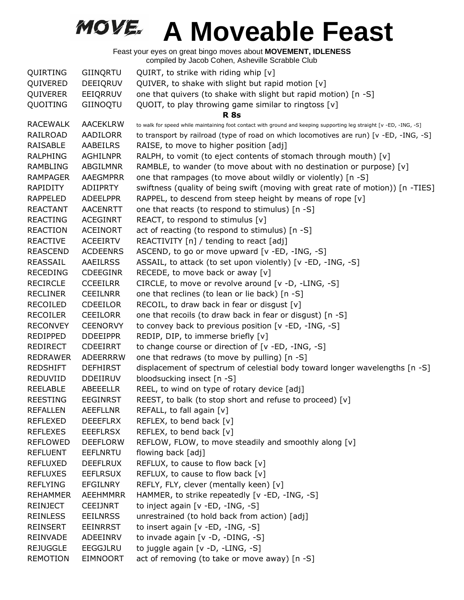| QUIRTING        | GIINQRTU        | QUIRT, to strike with riding whip [v]                                                                              |
|-----------------|-----------------|--------------------------------------------------------------------------------------------------------------------|
| QUIVERED        | DEEIQRUV        | QUIVER, to shake with slight but rapid motion [v]                                                                  |
| QUIVERER        | EEIQRRUV        | one that quivers (to shake with slight but rapid motion) [n -S]                                                    |
| QUOITING        | GIINOQTU        | QUOIT, to play throwing game similar to ringtoss [v]                                                               |
|                 |                 | <b>R</b> 8s                                                                                                        |
| <b>RACEWALK</b> | <b>AACEKLRW</b> | to walk for speed while maintaining foot contact with ground and keeping supporting leg straight [v -ED, -ING, -S] |
| RAILROAD        | AADILORR        | to transport by railroad (type of road on which locomotives are run) [v -ED, -ING, -S]                             |
| RAISABLE        | AABEILRS        | RAISE, to move to higher position [adj]                                                                            |
| <b>RALPHING</b> | <b>AGHILNPR</b> | RALPH, to vomit (to eject contents of stomach through mouth) [v]                                                   |
| <b>RAMBLING</b> | <b>ABGILMNR</b> | RAMBLE, to wander (to move about with no destination or purpose) $[v]$                                             |
| <b>RAMPAGER</b> | AAEGMPRR        | one that rampages (to move about wildly or violently) [n -S]                                                       |
| RAPIDITY        | ADIIPRTY        | swiftness (quality of being swift (moving with great rate of motion)) [n -TIES]                                    |
| <b>RAPPELED</b> | <b>ADEELPPR</b> | RAPPEL, to descend from steep height by means of rope $[v]$                                                        |
| <b>REACTANT</b> | <b>AACENRTT</b> | one that reacts (to respond to stimulus) [n -S]                                                                    |
| <b>REACTING</b> | <b>ACEGINRT</b> | REACT, to respond to stimulus [v]                                                                                  |
| <b>REACTION</b> | <b>ACEINORT</b> | act of reacting (to respond to stimulus) [n -S]                                                                    |
| <b>REACTIVE</b> | <b>ACEEIRTV</b> | REACTIVITY [n] / tending to react [adj]                                                                            |
| <b>REASCEND</b> | <b>ACDEENRS</b> | ASCEND, to go or move upward [v -ED, -ING, -S]                                                                     |
| REASSAIL        | <b>AAEILRSS</b> | ASSAIL, to attack (to set upon violently) [v -ED, -ING, -S]                                                        |
| <b>RECEDING</b> | <b>CDEEGINR</b> | RECEDE, to move back or away [v]                                                                                   |
| <b>RECIRCLE</b> | <b>CCEEILRR</b> | CIRCLE, to move or revolve around [v -D, -LING, -S]                                                                |
| <b>RECLINER</b> | <b>CEEILNRR</b> | one that reclines (to lean or lie back) [n -S]                                                                     |
| <b>RECOILED</b> | <b>CDEEILOR</b> | RECOIL, to draw back in fear or disgust [v]                                                                        |
| <b>RECOILER</b> | <b>CEEILORR</b> | one that recoils (to draw back in fear or disgust) [n -S]                                                          |
| <b>RECONVEY</b> | <b>CEENORVY</b> | to convey back to previous position [v -ED, -ING, -S]                                                              |
| <b>REDIPPED</b> | <b>DDEEIPPR</b> | REDIP, DIP, to immerse briefly [v]                                                                                 |
| <b>REDIRECT</b> | <b>CDEEIRRT</b> | to change course or direction of [v -ED, -ING, -S]                                                                 |
| <b>REDRAWER</b> | ADEERRRW        | one that redraws (to move by pulling) [n -S]                                                                       |
| <b>REDSHIFT</b> | <b>DEFHIRST</b> | displacement of spectrum of celestial body toward longer wavelengths [n -S]                                        |
| REDUVIID        | <b>DDEIIRUV</b> | bloodsucking insect [n -S]                                                                                         |
| <b>REELABLE</b> | ABEEELLR        | REEL, to wind on type of rotary device [adj]                                                                       |
| <b>REESTING</b> | <b>EEGINRST</b> | REEST, to balk (to stop short and refuse to proceed) [v]                                                           |
| <b>REFALLEN</b> | <b>AEEFLLNR</b> | REFALL, to fall again [v]                                                                                          |
| <b>REFLEXED</b> | <b>DEEEFLRX</b> | REFLEX, to bend back [v]                                                                                           |
| <b>REFLEXES</b> | <b>EEEFLRSX</b> | REFLEX, to bend back [v]                                                                                           |
| <b>REFLOWED</b> | <b>DEEFLORW</b> | REFLOW, FLOW, to move steadily and smoothly along [v]                                                              |
| <b>REFLUENT</b> | <b>EEFLNRTU</b> | flowing back [adj]                                                                                                 |
| <b>REFLUXED</b> | <b>DEEFLRUX</b> | REFLUX, to cause to flow back [v]                                                                                  |
| <b>REFLUXES</b> | <b>EEFLRSUX</b> | REFLUX, to cause to flow back [v]                                                                                  |
| <b>REFLYING</b> | EFGILNRY        | REFLY, FLY, clever (mentally keen) [v]                                                                             |
| <b>REHAMMER</b> | <b>AEEHMMRR</b> | HAMMER, to strike repeatedly [v -ED, -ING, -S]                                                                     |
| <b>REINJECT</b> | <b>CEEIJNRT</b> | to inject again [v -ED, -ING, -S]                                                                                  |
| <b>REINLESS</b> | <b>EEILNRSS</b> | unrestrained (to hold back from action) [adj]                                                                      |
| <b>REINSERT</b> | <b>EEINRRST</b> | to insert again [v -ED, -ING, -S]                                                                                  |
| REINVADE        | ADEEINRV        | to invade again [v -D, -DING, -S]                                                                                  |
| <b>REJUGGLE</b> | EEGGJLRU        | to juggle again [v -D, -LING, -S]                                                                                  |
| <b>REMOTION</b> | <b>EIMNOORT</b> | act of removing (to take or move away) [n -S]                                                                      |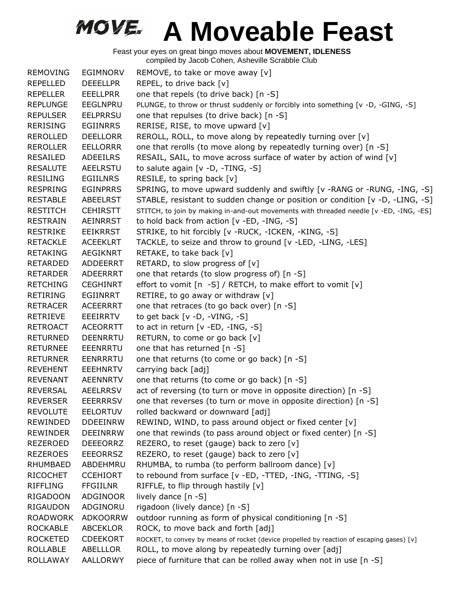| <b>REMOVING</b> | EGIMNORV        | REMOVE, to take or move away [v]                                                          |
|-----------------|-----------------|-------------------------------------------------------------------------------------------|
| <b>REPELLED</b> | <b>DEEELLPR</b> | REPEL, to drive back [v]                                                                  |
| <b>REPELLER</b> | <b>EEELLPRR</b> | one that repels (to drive back) [n -S]                                                    |
| <b>REPLUNGE</b> | EEGLNPRU        | PLUNGE, to throw or thrust suddenly or forcibly into something [v -D, -GING, -S]          |
| <b>REPULSER</b> | <b>EELPRRSU</b> | one that repulses (to drive back) [n -S]                                                  |
| <b>RERISING</b> | <b>EGIINRRS</b> | RERISE, RISE, to move upward [v]                                                          |
| <b>REROLLED</b> | <b>DEELLORR</b> | REROLL, ROLL, to move along by repeatedly turning over [v]                                |
| <b>REROLLER</b> | <b>EELLORRR</b> | one that rerolls (to move along by repeatedly turning over) [n -S]                        |
| RESAILED        | ADEEILRS        | RESAIL, SAIL, to move across surface of water by action of wind [v]                       |
| <b>RESALUTE</b> | <b>AEELRSTU</b> | to salute again [v -D, -TING, -S]                                                         |
| <b>RESILING</b> | <b>EGIILNRS</b> | RESILE, to spring back [v]                                                                |
| <b>RESPRING</b> | <b>EGINPRRS</b> | SPRING, to move upward suddenly and swiftly [v -RANG or -RUNG, -ING, -S]                  |
| <b>RESTABLE</b> | <b>ABEELRST</b> | STABLE, resistant to sudden change or position or condition [v -D, -LING, -S]             |
| <b>RESTITCH</b> | <b>CEHIRSTT</b> | STITCH, to join by making in-and-out movements with threaded needle [v -ED, -ING, -ES]    |
| <b>RESTRAIN</b> | <b>AEINRRST</b> | to hold back from action [v -ED, -ING, -S]                                                |
| <b>RESTRIKE</b> | <b>EEIKRRST</b> | STRIKE, to hit forcibly [v -RUCK, -ICKEN, -KING, -S]                                      |
| <b>RETACKLE</b> | <b>ACEEKLRT</b> | TACKLE, to seize and throw to ground [v -LED, -LING, -LES]                                |
| <b>RETAKING</b> | <b>AEGIKNRT</b> | RETAKE, to take back [v]                                                                  |
| <b>RETARDED</b> | ADDEERRT        | RETARD, to slow progress of [v]                                                           |
| <b>RETARDER</b> | ADEERRRT        | one that retards (to slow progress of) [n -S]                                             |
| <b>RETCHING</b> | <b>CEGHINRT</b> | effort to vomit [n -S] / RETCH, to make effort to vomit [v]                               |
| <b>RETIRING</b> | EGIINRRT        | RETIRE, to go away or withdraw [v]                                                        |
| <b>RETRACER</b> | <b>ACEERRRT</b> | one that retraces (to go back over) [n -S]                                                |
| <b>RETRIEVE</b> | <b>EEEIRRTV</b> | to get back $[v -D, -VING, -S]$                                                           |
| <b>RETROACT</b> | <b>ACEORRTT</b> | to act in return [v -ED, -ING, -S]                                                        |
| <b>RETURNED</b> | <b>DEENRRTU</b> | RETURN, to come or go back [v]                                                            |
| <b>RETURNEE</b> | <b>EEENRRTU</b> | one that has returned [n -S]                                                              |
| <b>RETURNER</b> | <b>EENRRRTU</b> | one that returns (to come or go back) [n -S]                                              |
| <b>REVEHENT</b> | <b>EEEHNRTV</b> | carrying back [adj]                                                                       |
| <b>REVENANT</b> | <b>AEENNRTV</b> | one that returns (to come or go back) [n -S]                                              |
| <b>REVERSAL</b> | <b>AEELRRSV</b> | act of reversing (to turn or move in opposite direction) [n -S]                           |
| <b>REVERSER</b> | <b>EEERRRSV</b> | one that reverses (to turn or move in opposite direction) [n -S]                          |
| <b>REVOLUTE</b> | <b>EELORTUV</b> | rolled backward or downward [adj]                                                         |
| <b>REWINDED</b> | <b>DDEEINRW</b> | REWIND, WIND, to pass around object or fixed center [v]                                   |
| <b>REWINDER</b> | <b>DEEINRRW</b> | one that rewinds (to pass around object or fixed center) [n -S]                           |
| REZEROED        | <b>DEEEORRZ</b> | REZERO, to reset (gauge) back to zero [v]                                                 |
| <b>REZEROES</b> | <b>EEEORRSZ</b> | REZERO, to reset (gauge) back to zero [v]                                                 |
| <b>RHUMBAED</b> | ABDEHMRU        | RHUMBA, to rumba (to perform ballroom dance) [v]                                          |
| <b>RICOCHET</b> | <b>CCEHIORT</b> | to rebound from surface [v -ED, -TTED, -ING, -TTING, -S]                                  |
| <b>RIFFLING</b> | <b>FFGIILNR</b> | RIFFLE, to flip through hastily [v]                                                       |
| <b>RIGADOON</b> | ADGINOOR        | lively dance [n -S]                                                                       |
| <b>RIGAUDON</b> | ADGINORU        | rigadoon (lively dance) [n -S]                                                            |
| <b>ROADWORK</b> | <b>ADKOORRW</b> | outdoor running as form of physical conditioning [n -S]                                   |
| <b>ROCKABLE</b> | <b>ABCEKLOR</b> | ROCK, to move back and forth [adj]                                                        |
| <b>ROCKETED</b> | <b>CDEEKORT</b> | ROCKET, to convey by means of rocket (device propelled by reaction of escaping gases) [v] |
| <b>ROLLABLE</b> | ABELLLOR        | ROLL, to move along by repeatedly turning over [adj]                                      |
| <b>ROLLAWAY</b> | AALLORWY        | piece of furniture that can be rolled away when not in use [n -S]                         |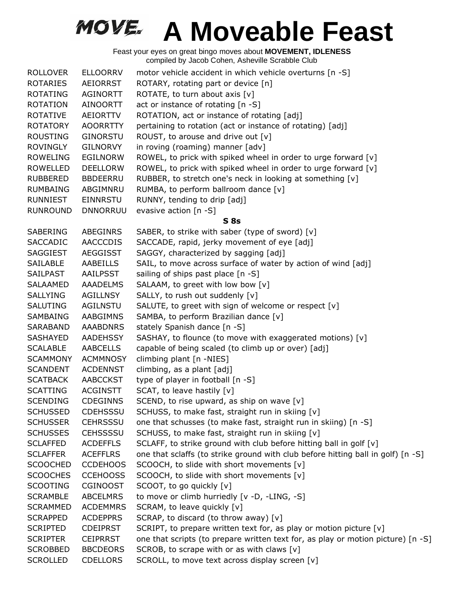| <b>ROLLOVER</b> | <b>ELLOORRV</b> | motor vehicle accident in which vehicle overturns [n -S]                         |
|-----------------|-----------------|----------------------------------------------------------------------------------|
| <b>ROTARIES</b> | AEIORRST        | ROTARY, rotating part or device [n]                                              |
| <b>ROTATING</b> | <b>AGINORTT</b> | ROTATE, to turn about axis [v]                                                   |
| <b>ROTATION</b> | <b>AINOORTT</b> | act or instance of rotating [n -S]                                               |
| <b>ROTATIVE</b> | <b>AEIORTTV</b> | ROTATION, act or instance of rotating [adj]                                      |
| <b>ROTATORY</b> | <b>AOORRTTY</b> | pertaining to rotation (act or instance of rotating) [adj]                       |
| <b>ROUSTING</b> | <b>GINORSTU</b> | ROUST, to arouse and drive out [v]                                               |
| <b>ROVINGLY</b> | <b>GILNORVY</b> | in roving (roaming) manner [adv]                                                 |
| <b>ROWELING</b> | <b>EGILNORW</b> | ROWEL, to prick with spiked wheel in order to urge forward [v]                   |
| <b>ROWELLED</b> | <b>DEELLORW</b> | ROWEL, to prick with spiked wheel in order to urge forward [v]                   |
| RUBBERED        | <b>BBDEERRU</b> | RUBBER, to stretch one's neck in looking at something [v]                        |
| <b>RUMBAING</b> | ABGIMNRU        | RUMBA, to perform ballroom dance [v]                                             |
| <b>RUNNIEST</b> | <b>EINNRSTU</b> | RUNNY, tending to drip [adj]                                                     |
| <b>RUNROUND</b> | <b>DNNORRUU</b> | evasive action [n -S]                                                            |
|                 |                 | S8s                                                                              |
| SABERING        | <b>ABEGINRS</b> | SABER, to strike with saber (type of sword) [v]                                  |
| <b>SACCADIC</b> | <b>AACCCDIS</b> | SACCADE, rapid, jerky movement of eye [adj]                                      |
| <b>SAGGIEST</b> | <b>AEGGISST</b> | SAGGY, characterized by sagging [adj]                                            |
| <b>SAILABLE</b> | AABEILLS        | SAIL, to move across surface of water by action of wind [adj]                    |
| SAILPAST        | AAILPSST        | sailing of ships past place [n -S]                                               |
| <b>SALAAMED</b> | <b>AAADELMS</b> | SALAAM, to greet with low bow [v]                                                |
| <b>SALLYING</b> | <b>AGILLNSY</b> | SALLY, to rush out suddenly [v]                                                  |
| <b>SALUTING</b> | AGILNSTU        | SALUTE, to greet with sign of welcome or respect [v]                             |
| SAMBAING        | AABGIMNS        | SAMBA, to perform Brazilian dance [v]                                            |
| SARABAND        | <b>AAABDNRS</b> | stately Spanish dance [n -S]                                                     |
| SASHAYED        | AADEHSSY        | SASHAY, to flounce (to move with exaggerated motions) [v]                        |
| <b>SCALABLE</b> | <b>AABCELLS</b> | capable of being scaled (to climb up or over) [adj]                              |
| <b>SCAMMONY</b> | <b>ACMMNOSY</b> | climbing plant [n -NIES]                                                         |
| <b>SCANDENT</b> | <b>ACDENNST</b> | climbing, as a plant [adj]                                                       |
| <b>SCATBACK</b> | <b>AABCCKST</b> | type of player in football [n -S]                                                |
| <b>SCATTING</b> | <b>ACGINSTT</b> | SCAT, to leave hastily [v]                                                       |
| <b>SCENDING</b> | <b>CDEGINNS</b> | SCEND, to rise upward, as ship on wave [v]                                       |
| <b>SCHUSSED</b> | <b>CDEHSSSU</b> | SCHUSS, to make fast, straight run in skiing [v]                                 |
| <b>SCHUSSER</b> | <b>CEHRSSSU</b> | one that schusses (to make fast, straight run in skiing) [n -S]                  |
| <b>SCHUSSES</b> | <b>CEHSSSSU</b> | SCHUSS, to make fast, straight run in skiing [v]                                 |
| <b>SCLAFFED</b> | <b>ACDEFFLS</b> | SCLAFF, to strike ground with club before hitting ball in golf [v]               |
| <b>SCLAFFER</b> | <b>ACEFFLRS</b> | one that sclaffs (to strike ground with club before hitting ball in golf) [n -S] |
| <b>SCOOCHED</b> | <b>CCDEHOOS</b> | SCOOCH, to slide with short movements [v]                                        |
| <b>SCOOCHES</b> | <b>CCEHOOSS</b> | SCOOCH, to slide with short movements [v]                                        |
| <b>SCOOTING</b> | <b>CGINOOST</b> | SCOOT, to go quickly [v]                                                         |
| <b>SCRAMBLE</b> | <b>ABCELMRS</b> | to move or climb hurriedly [v -D, -LING, -S]                                     |
| <b>SCRAMMED</b> | <b>ACDEMMRS</b> | SCRAM, to leave quickly [v]                                                      |
| <b>SCRAPPED</b> | <b>ACDEPPRS</b> | SCRAP, to discard (to throw away) [v]                                            |
| <b>SCRIPTED</b> | <b>CDEIPRST</b> | SCRIPT, to prepare written text for, as play or motion picture [v]               |
| <b>SCRIPTER</b> | <b>CEIPRRST</b> | one that scripts (to prepare written text for, as play or motion picture) [n -S] |
| <b>SCROBBED</b> | <b>BBCDEORS</b> | SCROB, to scrape with or as with claws [v]                                       |
| <b>SCROLLED</b> | <b>CDELLORS</b> | SCROLL, to move text across display screen [v]                                   |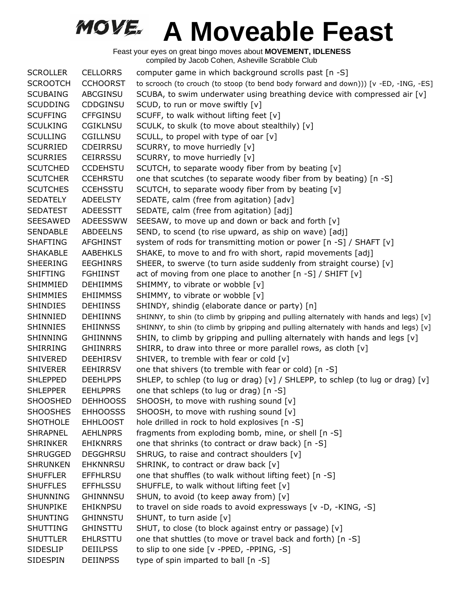| <b>SCROLLER</b> | <b>CELLORRS</b> | computer game in which background scrolls past [n -S]                                  |
|-----------------|-----------------|----------------------------------------------------------------------------------------|
| <b>SCROOTCH</b> | <b>CCHOORST</b> | to scrooch (to crouch (to stoop (to bend body forward and down))) [v -ED, -ING, -ES]   |
| <b>SCUBAING</b> | ABCGINSU        | SCUBA, to swim underwater using breathing device with compressed air $[v]$             |
| <b>SCUDDING</b> | <b>CDDGINSU</b> | SCUD, to run or move swiftly [v]                                                       |
| <b>SCUFFING</b> | <b>CFFGINSU</b> | SCUFF, to walk without lifting feet [v]                                                |
| <b>SCULKING</b> | <b>CGIKLNSU</b> | SCULK, to skulk (to move about stealthily) [v]                                         |
| <b>SCULLING</b> | <b>CGILLNSU</b> | SCULL, to propel with type of oar $[v]$                                                |
| <b>SCURRIED</b> | <b>CDEIRRSU</b> | SCURRY, to move hurriedly [v]                                                          |
| <b>SCURRIES</b> | <b>CEIRRSSU</b> | SCURRY, to move hurriedly [v]                                                          |
| <b>SCUTCHED</b> | <b>CCDEHSTU</b> | SCUTCH, to separate woody fiber from by beating [v]                                    |
| <b>SCUTCHER</b> | <b>CCEHRSTU</b> | one that scutches (to separate woody fiber from by beating) [n -S]                     |
| <b>SCUTCHES</b> | <b>CCEHSSTU</b> | SCUTCH, to separate woody fiber from by beating [v]                                    |
| <b>SEDATELY</b> | <b>ADEELSTY</b> | SEDATE, calm (free from agitation) [adv]                                               |
| <b>SEDATEST</b> | <b>ADEESSTT</b> | SEDATE, calm (free from agitation) [adj]                                               |
| <b>SEESAWED</b> | ADEESSWW        | SEESAW, to move up and down or back and forth [v]                                      |
| <b>SENDABLE</b> | <b>ABDEELNS</b> | SEND, to scend (to rise upward, as ship on wave) [adj]                                 |
| <b>SHAFTING</b> | <b>AFGHINST</b> | system of rods for transmitting motion or power [n -S] / SHAFT [v]                     |
| <b>SHAKABLE</b> | <b>AABEHKLS</b> | SHAKE, to move to and fro with short, rapid movements [adj]                            |
| <b>SHEERING</b> | <b>EEGHINRS</b> | SHEER, to swerve (to turn aside suddenly from straight course) [v]                     |
| <b>SHIFTING</b> | <b>FGHIINST</b> | act of moving from one place to another $[n -S]$ / SHIFT $[v]$                         |
| SHIMMIED        | <b>DEHIIMMS</b> | SHIMMY, to vibrate or wobble [v]                                                       |
| <b>SHIMMIES</b> | <b>EHIIMMSS</b> | SHIMMY, to vibrate or wobble [v]                                                       |
| <b>SHINDIES</b> | <b>DEHIINSS</b> | SHINDY, shindig (elaborate dance or party) [n]                                         |
| SHINNIED        | <b>DEHIINNS</b> | SHINNY, to shin (to climb by gripping and pulling alternately with hands and legs) [v] |
| <b>SHINNIES</b> | <b>EHIINNSS</b> | SHINNY, to shin (to climb by gripping and pulling alternately with hands and legs) [v] |
| <b>SHINNING</b> | <b>GHIINNNS</b> | SHIN, to climb by gripping and pulling alternately with hands and legs [v]             |
| <b>SHIRRING</b> | <b>GHIINRRS</b> | SHIRR, to draw into three or more parallel rows, as cloth [v]                          |
| <b>SHIVERED</b> | <b>DEEHIRSV</b> | SHIVER, to tremble with fear or cold [v]                                               |
| <b>SHIVERER</b> | <b>EEHIRRSV</b> | one that shivers (to tremble with fear or cold) [n -S]                                 |
| <b>SHLEPPED</b> | <b>DEEHLPPS</b> | SHLEP, to schlep (to lug or drag) [v] / SHLEPP, to schlep (to lug or drag) [v]         |
| <b>SHLEPPER</b> | <b>EEHLPPRS</b> | one that schleps (to lug or drag) [n -S]                                               |
| <b>SHOOSHED</b> | <b>DEHHOOSS</b> | SHOOSH, to move with rushing sound [v]                                                 |
| <b>SHOOSHES</b> | <b>EHHOOSSS</b> | SHOOSH, to move with rushing sound [v]                                                 |
| <b>SHOTHOLE</b> | <b>EHHLOOST</b> | hole drilled in rock to hold explosives [n -S]                                         |
| <b>SHRAPNEL</b> | <b>AEHLNPRS</b> | fragments from exploding bomb, mine, or shell [n -S]                                   |
| <b>SHRINKER</b> | <b>EHIKNRRS</b> | one that shrinks (to contract or draw back) [n -S]                                     |
| <b>SHRUGGED</b> | <b>DEGGHRSU</b> | SHRUG, to raise and contract shoulders [v]                                             |
| <b>SHRUNKEN</b> | <b>EHKNNRSU</b> | SHRINK, to contract or draw back [v]                                                   |
| <b>SHUFFLER</b> | <b>EFFHLRSU</b> | one that shuffles (to walk without lifting feet) [n -S]                                |
| <b>SHUFFLES</b> | <b>EFFHLSSU</b> | SHUFFLE, to walk without lifting feet [v]                                              |
| SHUNNING        | <b>GHINNNSU</b> | SHUN, to avoid (to keep away from) [v]                                                 |
| <b>SHUNPIKE</b> | <b>EHIKNPSU</b> | to travel on side roads to avoid expressways [v -D, -KING, -S]                         |
| SHUNTING        | <b>GHINNSTU</b> | SHUNT, to turn aside [v]                                                               |
| <b>SHUTTING</b> | <b>GHINSTTU</b> | SHUT, to close (to block against entry or passage) [v]                                 |
| <b>SHUTTLER</b> | <b>EHLRSTTU</b> | one that shuttles (to move or travel back and forth) [n -S]                            |
| <b>SIDESLIP</b> | <b>DEIILPSS</b> | to slip to one side [v -PPED, -PPING, -S]                                              |
| <b>SIDESPIN</b> | <b>DEIINPSS</b> | type of spin imparted to ball [n -S]                                                   |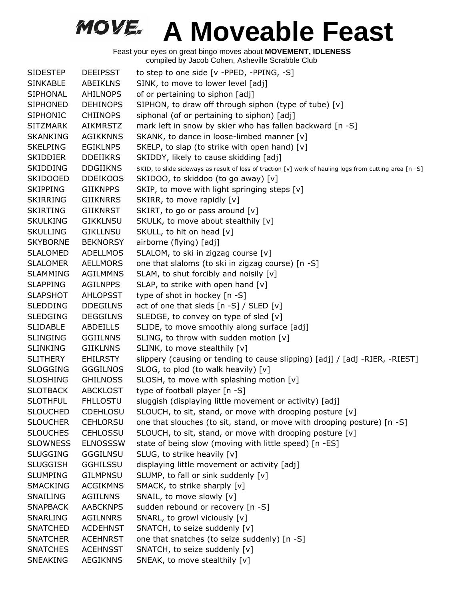| <b>SIDESTEP</b> | <b>DEEIPSST</b> | to step to one side [v -PPED, -PPING, -S]                                                               |
|-----------------|-----------------|---------------------------------------------------------------------------------------------------------|
| <b>SINKABLE</b> | <b>ABEIKLNS</b> | SINK, to move to lower level [adj]                                                                      |
| <b>SIPHONAL</b> | <b>AHILNOPS</b> | of or pertaining to siphon [adj]                                                                        |
| <b>SIPHONED</b> | <b>DEHINOPS</b> | SIPHON, to draw off through siphon (type of tube) [v]                                                   |
| <b>SIPHONIC</b> | <b>CHIINOPS</b> | siphonal (of or pertaining to siphon) [adj]                                                             |
| <b>SITZMARK</b> | AIKMRSTZ        | mark left in snow by skier who has fallen backward [n -S]                                               |
| <b>SKANKING</b> | <b>AGIKKNNS</b> | SKANK, to dance in loose-limbed manner [v]                                                              |
| <b>SKELPING</b> | <b>EGIKLNPS</b> | SKELP, to slap (to strike with open hand) [v]                                                           |
| <b>SKIDDIER</b> | <b>DDEIIKRS</b> | SKIDDY, likely to cause skidding [adj]                                                                  |
| <b>SKIDDING</b> | <b>DDGIIKNS</b> | SKID, to slide sideways as result of loss of traction [v] work of hauling logs from cutting area [n -S] |
| <b>SKIDOOED</b> | <b>DDEIKOOS</b> | SKIDOO, to skiddoo (to go away) [v]                                                                     |
| <b>SKIPPING</b> | <b>GIIKNPPS</b> | SKIP, to move with light springing steps [v]                                                            |
| <b>SKIRRING</b> | <b>GIIKNRRS</b> | SKIRR, to move rapidly [v]                                                                              |
| <b>SKIRTING</b> | <b>GIIKNRST</b> | SKIRT, to go or pass around [v]                                                                         |
| <b>SKULKING</b> | <b>GIKKLNSU</b> | SKULK, to move about stealthily [v]                                                                     |
| <b>SKULLING</b> | <b>GIKLLNSU</b> | SKULL, to hit on head [v]                                                                               |
| <b>SKYBORNE</b> | <b>BEKNORSY</b> | airborne (flying) [adj]                                                                                 |
| <b>SLALOMED</b> | ADELLMOS        | SLALOM, to ski in zigzag course [v]                                                                     |
| <b>SLALOMER</b> | <b>AELLMORS</b> | one that slaloms (to ski in zigzag course) [n -S]                                                       |
| <b>SLAMMING</b> | <b>AGILMMNS</b> | SLAM, to shut forcibly and noisily [v]                                                                  |
| <b>SLAPPING</b> | <b>AGILNPPS</b> | SLAP, to strike with open hand [v]                                                                      |
| <b>SLAPSHOT</b> | <b>AHLOPSST</b> | type of shot in hockey [n -S]                                                                           |
| <b>SLEDDING</b> | <b>DDEGILNS</b> | act of one that sleds [n -S] / SLED [v]                                                                 |
| <b>SLEDGING</b> | <b>DEGGILNS</b> | SLEDGE, to convey on type of sled [v]                                                                   |
| <b>SLIDABLE</b> | <b>ABDEILLS</b> | SLIDE, to move smoothly along surface [adj]                                                             |
| <b>SLINGING</b> | <b>GGIILNNS</b> | SLING, to throw with sudden motion [v]                                                                  |
| <b>SLINKING</b> | <b>GIIKLNNS</b> | SLINK, to move stealthily [v]                                                                           |
| <b>SLITHERY</b> | <b>EHILRSTY</b> | slippery (causing or tending to cause slipping) [adj] / [adj -RIER, -RIEST]                             |
| <b>SLOGGING</b> | <b>GGGILNOS</b> | SLOG, to plod (to walk heavily) [v]                                                                     |
| <b>SLOSHING</b> | <b>GHILNOSS</b> | SLOSH, to move with splashing motion [v]                                                                |
| <b>SLOTBACK</b> | <b>ABCKLOST</b> | type of football player [n -S]                                                                          |
| <b>SLOTHFUL</b> | <b>FHLLOSTU</b> | sluggish (displaying little movement or activity) [adj]                                                 |
| <b>SLOUCHED</b> | <b>CDEHLOSU</b> | SLOUCH, to sit, stand, or move with drooping posture [v]                                                |
| <b>SLOUCHER</b> | <b>CEHLORSU</b> | one that slouches (to sit, stand, or move with drooping posture) [n -S]                                 |
| <b>SLOUCHES</b> | <b>CEHLOSSU</b> | SLOUCH, to sit, stand, or move with drooping posture [v]                                                |
| <b>SLOWNESS</b> | <b>ELNOSSSW</b> | state of being slow (moving with little speed) [n -ES]                                                  |
| <b>SLUGGING</b> | <b>GGGILNSU</b> | SLUG, to strike heavily [v]                                                                             |
| <b>SLUGGISH</b> | <b>GGHILSSU</b> | displaying little movement or activity [adj]                                                            |
| <b>SLUMPING</b> | <b>GILMPNSU</b> | SLUMP, to fall or sink suddenly [v]                                                                     |
| <b>SMACKING</b> | <b>ACGIKMNS</b> | SMACK, to strike sharply [v]                                                                            |
| SNAILING        | <b>AGIILNNS</b> | SNAIL, to move slowly [v]                                                                               |
| <b>SNAPBACK</b> | <b>AABCKNPS</b> | sudden rebound or recovery [n -S]                                                                       |
| SNARLING        | <b>AGILNNRS</b> | SNARL, to growl viciously [v]                                                                           |
| <b>SNATCHED</b> | <b>ACDEHNST</b> | SNATCH, to seize suddenly [v]                                                                           |
| <b>SNATCHER</b> | <b>ACEHNRST</b> | one that snatches (to seize suddenly) [n -S]                                                            |
| <b>SNATCHES</b> | <b>ACEHNSST</b> | SNATCH, to seize suddenly [v]                                                                           |
| SNEAKING        | <b>AEGIKNNS</b> | SNEAK, to move stealthily [v]                                                                           |
|                 |                 |                                                                                                         |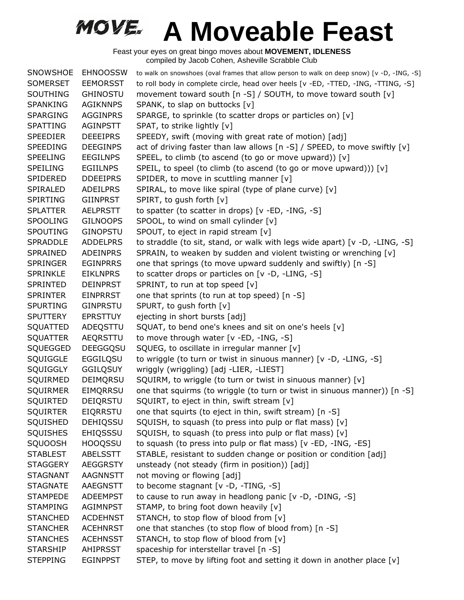| <b>SNOWSHOE</b> | <b>EHNOOSSW</b> | to walk on snowshoes (oval frames that allow person to walk on deep snow) [v -D, -ING, -S] |
|-----------------|-----------------|--------------------------------------------------------------------------------------------|
| SOMERSET        | <b>EEMORSST</b> | to roll body in complete circle, head over heels [v -ED, -TTED, -ING, -TTING, -S]          |
| <b>SOUTHING</b> | <b>GHINOSTU</b> | movement toward south [n -S] / SOUTH, to move toward south [v]                             |
| <b>SPANKING</b> | <b>AGIKNNPS</b> | SPANK, to slap on buttocks [v]                                                             |
| <b>SPARGING</b> | <b>AGGINPRS</b> | SPARGE, to sprinkle (to scatter drops or particles on) [v]                                 |
| <b>SPATTING</b> | <b>AGINPSTT</b> | SPAT, to strike lightly [v]                                                                |
| <b>SPEEDIER</b> | <b>DEEEIPRS</b> | SPEEDY, swift (moving with great rate of motion) [adj]                                     |
| <b>SPEEDING</b> | <b>DEEGINPS</b> | act of driving faster than law allows [n -S] / SPEED, to move swiftly [v]                  |
| <b>SPEELING</b> | <b>EEGILNPS</b> | SPEEL, to climb (to ascend (to go or move upward)) [v]                                     |
| <b>SPEILING</b> | <b>EGIILNPS</b> | SPEIL, to speel (to climb (to ascend (to go or move upward))) [v]                          |
| SPIDERED        | <b>DDEEIPRS</b> | SPIDER, to move in scuttling manner [v]                                                    |
| SPIRALED        | <b>ADEILPRS</b> | SPIRAL, to move like spiral (type of plane curve) [v]                                      |
| <b>SPIRTING</b> | <b>GIINPRST</b> | SPIRT, to gush forth [v]                                                                   |
| <b>SPLATTER</b> | <b>AELPRSTT</b> | to spatter (to scatter in drops) [v -ED, -ING, -S]                                         |
| <b>SPOOLING</b> | <b>GILNOOPS</b> | SPOOL, to wind on small cylinder [v]                                                       |
| <b>SPOUTING</b> | <b>GINOPSTU</b> | SPOUT, to eject in rapid stream [v]                                                        |
| <b>SPRADDLE</b> | <b>ADDELPRS</b> | to straddle (to sit, stand, or walk with legs wide apart) [v -D, -LING, -S]                |
| SPRAINED        | <b>ADEINPRS</b> | SPRAIN, to weaken by sudden and violent twisting or wrenching [v]                          |
| <b>SPRINGER</b> | <b>EGINPRRS</b> | one that springs (to move upward suddenly and swiftly) [n -S]                              |
| <b>SPRINKLE</b> | <b>EIKLNPRS</b> | to scatter drops or particles on [v -D, -LING, -S]                                         |
| SPRINTED        | <b>DEINPRST</b> | SPRINT, to run at top speed [v]                                                            |
| <b>SPRINTER</b> | EINPRRST        | one that sprints (to run at top speed) [n -S]                                              |
| <b>SPURTING</b> | <b>GINPRSTU</b> | SPURT, to gush forth [v]                                                                   |
| <b>SPUTTERY</b> | <b>EPRSTTUY</b> | ejecting in short bursts [adj]                                                             |
| SQUATTED        | ADEQSTTU        | SQUAT, to bend one's knees and sit on one's heels [v]                                      |
| <b>SQUATTER</b> | AEQRSTTU        | to move through water [v -ED, -ING, -S]                                                    |
| SQUEGGED        | <b>DEEGGQSU</b> | SQUEG, to oscillate in irregular manner [v]                                                |
| SQUIGGLE        | EGGILQSU        | to wriggle (to turn or twist in sinuous manner) [v -D, -LING, -S]                          |
| SQUIGGLY        | <b>GGILQSUY</b> | wriggly (wriggling) [adj -LIER, -LIEST]                                                    |
| SQUIRMED        | DEIMQRSU        | SQUIRM, to wriggle (to turn or twist in sinuous manner) [v]                                |
| SQUIRMER        | EIMQRRSU        | one that squirms (to wriggle (to turn or twist in sinuous manner)) [n -S]                  |
| SQUIRTED        | DEIQRSTU        | SQUIRT, to eject in thin, swift stream [v]                                                 |
| <b>SQUIRTER</b> | <b>EIQRRSTU</b> | one that squirts (to eject in thin, swift stream) [n -S]                                   |
| SQUISHED        | DEHIQSSU        | SQUISH, to squash (to press into pulp or flat mass) [v]                                    |
| <b>SQUISHES</b> | EHIQSSSU        | SQUISH, to squash (to press into pulp or flat mass) [v]                                    |
| SQUOOSH         | <b>HOOQSSU</b>  | to squash (to press into pulp or flat mass) [v -ED, -ING, -ES]                             |
| <b>STABLEST</b> | ABELSSTT        | STABLE, resistant to sudden change or position or condition [adj]                          |
| <b>STAGGERY</b> | <b>AEGGRSTY</b> | unsteady (not steady (firm in position)) [adj]                                             |
| <b>STAGNANT</b> | <b>AAGNNSTT</b> | not moving or flowing [adj]                                                                |
| <b>STAGNATE</b> | AAEGNSTT        | to become stagnant [v -D, -TING, -S]                                                       |
| <b>STAMPEDE</b> | <b>ADEEMPST</b> | to cause to run away in headlong panic [v -D, -DING, -S]                                   |
| <b>STAMPING</b> | <b>AGIMNPST</b> | STAMP, to bring foot down heavily [v]                                                      |
| <b>STANCHED</b> | <b>ACDEHNST</b> | STANCH, to stop flow of blood from [v]                                                     |
| <b>STANCHER</b> | <b>ACEHNRST</b> | one that stanches (to stop flow of blood from) [n -S]                                      |
| <b>STANCHES</b> | <b>ACEHNSST</b> | STANCH, to stop flow of blood from [v]                                                     |
| <b>STARSHIP</b> | AHIPRSST        | spaceship for interstellar travel [n -S]                                                   |
| <b>STEPPING</b> | <b>EGINPPST</b> | STEP, to move by lifting foot and setting it down in another place [v]                     |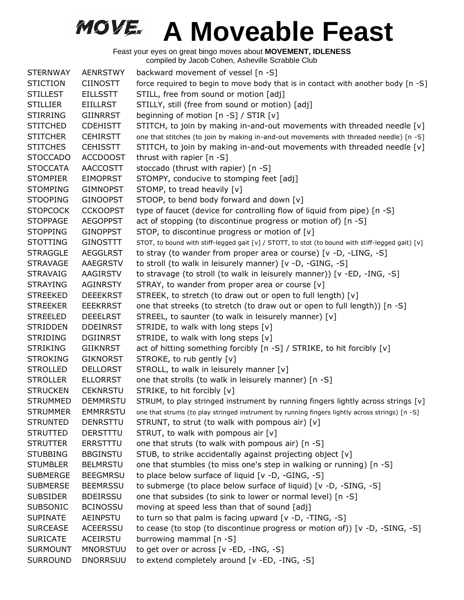| <b>STERNWAY</b> | <b>AENRSTWY</b> | backward movement of vessel [n -S]                                                               |
|-----------------|-----------------|--------------------------------------------------------------------------------------------------|
| <b>STICTION</b> | <b>CIINOSTT</b> | force required to begin to move body that is in contact with another body [n -S]                 |
| <b>STILLEST</b> | <b>EILLSSTT</b> | STILL, free from sound or motion [adj]                                                           |
| <b>STILLIER</b> | <b>EIILLRST</b> | STILLY, still (free from sound or motion) [adj]                                                  |
| <b>STIRRING</b> | <b>GIINRRST</b> | beginning of motion [n -S] / STIR [v]                                                            |
| <b>STITCHED</b> | <b>CDEHISTT</b> | STITCH, to join by making in-and-out movements with threaded needle [v]                          |
| <b>STITCHER</b> | <b>CEHIRSTT</b> | one that stitches (to join by making in-and-out movements with threaded needle) [n -S]           |
| <b>STITCHES</b> | <b>CEHISSTT</b> | STITCH, to join by making in-and-out movements with threaded needle [v]                          |
| <b>STOCCADO</b> | <b>ACCDOOST</b> | thrust with rapier [n -S]                                                                        |
| <b>STOCCATA</b> | <b>AACCOSTT</b> | stoccado (thrust with rapier) [n -S]                                                             |
| <b>STOMPIER</b> | <b>EIMOPRST</b> | STOMPY, conducive to stomping feet [adj]                                                         |
| <b>STOMPING</b> | <b>GIMNOPST</b> | STOMP, to tread heavily [v]                                                                      |
| <b>STOOPING</b> | <b>GINOOPST</b> | STOOP, to bend body forward and down [v]                                                         |
| <b>STOPCOCK</b> | <b>CCKOOPST</b> | type of faucet (device for controlling flow of liquid from pipe) [n -S]                          |
| <b>STOPPAGE</b> | <b>AEGOPPST</b> | act of stopping (to discontinue progress or motion of) [n -S]                                    |
| <b>STOPPING</b> | <b>GINOPPST</b> | STOP, to discontinue progress or motion of [v]                                                   |
| <b>STOTTING</b> | <b>GINOSTTT</b> | STOT, to bound with stiff-legged gait [v] / STOTT, to stot (to bound with stiff-legged gait) [v] |
| <b>STRAGGLE</b> | <b>AEGGLRST</b> | to stray (to wander from proper area or course) [v -D, -LING, -S]                                |
| <b>STRAVAGE</b> | AAEGRSTV        | to stroll (to walk in leisurely manner) [v -D, -GING, -S]                                        |
| <b>STRAVAIG</b> | AAGIRSTV        | to stravage (to stroll (to walk in leisurely manner)) [v -ED, -ING, -S]                          |
| <b>STRAYING</b> | <b>AGINRSTY</b> | STRAY, to wander from proper area or course [v]                                                  |
| <b>STREEKED</b> | <b>DEEEKRST</b> | STREEK, to stretch (to draw out or open to full length) [v]                                      |
| <b>STREEKER</b> | <b>EEEKRRST</b> | one that streeks (to stretch (to draw out or open to full length)) [n -S]                        |
| <b>STREELED</b> | <b>DEEELRST</b> | STREEL, to saunter (to walk in leisurely manner) [v]                                             |
| <b>STRIDDEN</b> | <b>DDEINRST</b> | STRIDE, to walk with long steps [v]                                                              |
| <b>STRIDING</b> | <b>DGIINRST</b> | STRIDE, to walk with long steps [v]                                                              |
| <b>STRIKING</b> | <b>GIIKNRST</b> | act of hitting something forcibly [n -S] / STRIKE, to hit forcibly [v]                           |
| <b>STROKING</b> | <b>GIKNORST</b> | STROKE, to rub gently [v]                                                                        |
| <b>STROLLED</b> | <b>DELLORST</b> | STROLL, to walk in leisurely manner [v]                                                          |
| <b>STROLLER</b> | <b>ELLORRST</b> | one that strolls (to walk in leisurely manner) [n -S]                                            |
| <b>STRUCKEN</b> | <b>CEKNRSTU</b> | STRIKE, to hit forcibly [v]                                                                      |
| <b>STRUMMED</b> | <b>DEMMRSTU</b> | STRUM, to play stringed instrument by running fingers lightly across strings [v]                 |
| <b>STRUMMER</b> | <b>EMMRRSTU</b> | one that strums (to play stringed instrument by running fingers lightly across strings) [n -S]   |
| <b>STRUNTED</b> | <b>DENRSTTU</b> | STRUNT, to strut (to walk with pompous air) [v]                                                  |
| <b>STRUTTED</b> | <b>DERSTTTU</b> | STRUT, to walk with pompous air [v]                                                              |
| <b>STRUTTER</b> | <b>ERRSTTTU</b> | one that struts (to walk with pompous air) [n -S]                                                |
| <b>STUBBING</b> | <b>BBGINSTU</b> | STUB, to strike accidentally against projecting object [v]                                       |
| <b>STUMBLER</b> | <b>BELMRSTU</b> | one that stumbles (to miss one's step in walking or running) [n -S]                              |
| <b>SUBMERGE</b> | <b>BEEGMRSU</b> | to place below surface of liquid [v -D, -GING, -S]                                               |
| <b>SUBMERSE</b> | <b>BEEMRSSU</b> | to submerge (to place below surface of liquid) [v -D, -SING, -S]                                 |
| <b>SUBSIDER</b> | <b>BDEIRSSU</b> | one that subsides (to sink to lower or normal level) [n -S]                                      |
| <b>SUBSONIC</b> | <b>BCINOSSU</b> | moving at speed less than that of sound [adj]                                                    |
| <b>SUPINATE</b> | AEINPSTU        | to turn so that palm is facing upward [v -D, -TING, -S]                                          |
| <b>SURCEASE</b> | <b>ACEERSSU</b> | to cease (to stop (to discontinue progress or motion of)) [v -D, -SING, -S]                      |
| <b>SURICATE</b> | ACEIRSTU        | burrowing mammal [n -S]                                                                          |
| <b>SURMOUNT</b> | <b>MNORSTUU</b> | to get over or across [v -ED, -ING, -S]                                                          |
| <b>SURROUND</b> | <b>DNORRSUU</b> | to extend completely around [v -ED, -ING, -S]                                                    |
|                 |                 |                                                                                                  |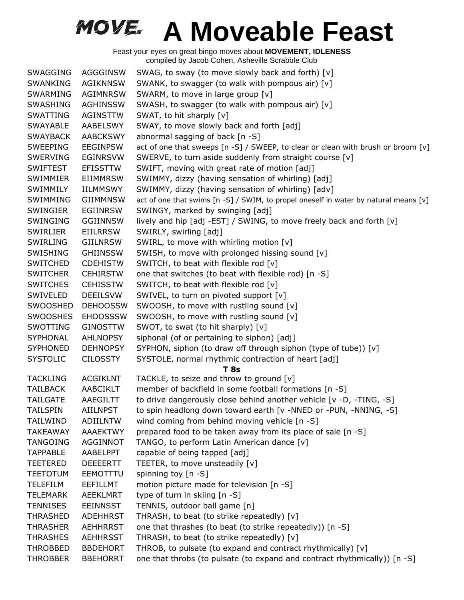| <b>SWAGGING</b> | AGGGINSW        | SWAG, to sway (to move slowly back and forth) [v]                                    |
|-----------------|-----------------|--------------------------------------------------------------------------------------|
| SWANKING        | AGIKNNSW        | SWANK, to swagger (to walk with pompous air) [v]                                     |
| <b>SWARMING</b> | <b>AGIMNRSW</b> | SWARM, to move in large group [v]                                                    |
| <b>SWASHING</b> | <b>AGHINSSW</b> | SWASH, to swagger (to walk with pompous air) [v]                                     |
| SWATTING        | AGINSTTW        | SWAT, to hit sharply [v]                                                             |
| <b>SWAYABLE</b> | AABELSWY        | SWAY, to move slowly back and forth [adj]                                            |
| <b>SWAYBACK</b> | <b>AABCKSWY</b> | abnormal sagging of back [n -S]                                                      |
| <b>SWEEPING</b> | <b>EEGINPSW</b> | act of one that sweeps [n -S] / SWEEP, to clear or clean with brush or broom [v]     |
| <b>SWERVING</b> | <b>EGINRSVW</b> | SWERVE, to turn aside suddenly from straight course [v]                              |
| <b>SWIFTEST</b> | <b>EFISSTTW</b> | SWIFT, moving with great rate of motion [adj]                                        |
| SWIMMIER        | <b>EIIMMRSW</b> | SWIMMY, dizzy (having sensation of whirling) [adj]                                   |
| SWIMMILY        | <b>IILMMSWY</b> | SWIMMY, dizzy (having sensation of whirling) [adv]                                   |
| SWIMMING        | <b>GIIMMNSW</b> | act of one that swims [n -S] / SWIM, to propel oneself in water by natural means [v] |
| SWINGIER        | EGIINRSW        | SWINGY, marked by swinging [adj]                                                     |
| SWINGING        | <b>GGIINNSW</b> | lively and hip [adj -EST] / SWING, to move freely back and forth [v]                 |
| SWIRLIER        | <b>EIILRRSW</b> | SWIRLY, swirling [adj]                                                               |
| SWIRLING        | <b>GIILNRSW</b> | SWIRL, to move with whirling motion [v]                                              |
| SWISHING        | <b>GHIINSSW</b> | SWISH, to move with prolonged hissing sound [v]                                      |
| <b>SWITCHED</b> | <b>CDEHISTW</b> | SWITCH, to beat with flexible rod [v]                                                |
| <b>SWITCHER</b> | <b>CEHIRSTW</b> | one that switches (to beat with flexible rod) [n -S]                                 |
| <b>SWITCHES</b> | <b>CEHISSTW</b> | SWITCH, to beat with flexible rod [v]                                                |
| SWIVELED        | <b>DEEILSVW</b> | SWIVEL, to turn on pivoted support [v]                                               |
| <b>SWOOSHED</b> | <b>DEHOOSSW</b> | SWOOSH, to move with rustling sound [v]                                              |
| <b>SWOOSHES</b> | <b>EHOOSSSW</b> | SWOOSH, to move with rustling sound [v]                                              |
| SWOTTING        | <b>GINOSTTW</b> | SWOT, to swat (to hit sharply) [v]                                                   |
| <b>SYPHONAL</b> | <b>AHLNOPSY</b> | siphonal (of or pertaining to siphon) [adj]                                          |
| <b>SYPHONED</b> | <b>DEHNOPSY</b> | SYPHON, siphon (to draw off through siphon (type of tube)) [v]                       |
| <b>SYSTOLIC</b> | <b>CILOSSTY</b> | SYSTOLE, normal rhythmic contraction of heart [adj]                                  |
|                 |                 | <b>T</b> 8s                                                                          |
| <b>TACKLING</b> | <b>ACGIKLNT</b> | TACKLE, to seize and throw to ground [v]                                             |
| <b>TAILBACK</b> | AABCIKLT        | member of backfield in some football formations [n -S]                               |
| <b>TAILGATE</b> | AAEGILTT        | to drive dangerously close behind another vehicle [v -D, -TING, -S]                  |
| <b>TAILSPIN</b> | <b>AIILNPST</b> | to spin headlong down toward earth [v -NNED or -PUN, -NNING, -S]                     |
| TAILWIND        | <b>ADIILNTW</b> | wind coming from behind moving vehicle $[n - S]$                                     |
| <b>TAKEAWAY</b> | <b>AAAEKTWY</b> | prepared food to be taken away from its place of sale [n -S]                         |
| <b>TANGOING</b> | AGGINNOT        | TANGO, to perform Latin American dance [v]                                           |
| <b>TAPPABLE</b> | AABELPPT        | capable of being tapped [adj]                                                        |
| <b>TEETERED</b> | <b>DEEEERTT</b> | TEETER, to move unsteadily [v]                                                       |
| <b>TEETOTUM</b> | EEMOTTTU        | spinning toy [n -S]                                                                  |
| <b>TELEFILM</b> | EEFILLMT        | motion picture made for television [n -S]                                            |
| <b>TELEMARK</b> | <b>AEEKLMRT</b> | type of turn in skiing [n -S]                                                        |
| <b>TENNISES</b> | <b>EEINNSST</b> | TENNIS, outdoor ball game [n]                                                        |
| <b>THRASHED</b> | <b>ADEHHRST</b> | THRASH, to beat (to strike repeatedly) [v]                                           |
| <b>THRASHER</b> | <b>AEHHRRST</b> | one that thrashes (to beat (to strike repeatedly)) [n -S]                            |
| <b>THRASHES</b> | <b>AEHHRSST</b> | THRASH, to beat (to strike repeatedly) [v]                                           |
| <b>THROBBED</b> | <b>BBDEHORT</b> | THROB, to pulsate (to expand and contract rhythmically) [v]                          |
| <b>THROBBER</b> | <b>BBEHORRT</b> | one that throbs (to pulsate (to expand and contract rhythmically)) [n -S]            |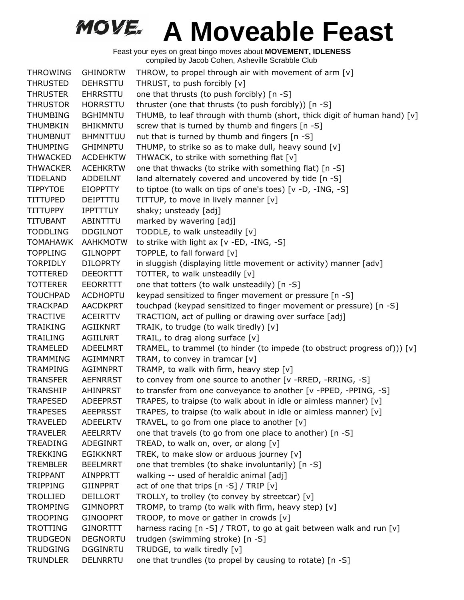| <b>THROWING</b> | <b>GHINORTW</b> | THROW, to propel through air with movement of arm [v]                      |
|-----------------|-----------------|----------------------------------------------------------------------------|
| <b>THRUSTED</b> | <b>DEHRSTTU</b> | THRUST, to push forcibly [v]                                               |
| <b>THRUSTER</b> | <b>EHRRSTTU</b> | one that thrusts (to push forcibly) [n -S]                                 |
| <b>THRUSTOR</b> | <b>HORRSTTU</b> | thruster (one that thrusts (to push forcibly)) [n -S]                      |
| <b>THUMBING</b> | <b>BGHIMNTU</b> | THUMB, to leaf through with thumb (short, thick digit of human hand) [v]   |
| <b>THUMBKIN</b> | <b>BHIKMNTU</b> | screw that is turned by thumb and fingers [n -S]                           |
| <b>THUMBNUT</b> | <b>BHMNTTUU</b> | nut that is turned by thumb and fingers [n -S]                             |
| <b>THUMPING</b> | <b>GHIMNPTU</b> | THUMP, to strike so as to make dull, heavy sound [v]                       |
| <b>THWACKED</b> | <b>ACDEHKTW</b> | THWACK, to strike with something flat [v]                                  |
| <b>THWACKER</b> | <b>ACEHKRTW</b> | one that thwacks (to strike with something flat) [n -S]                    |
| <b>TIDELAND</b> | ADDEILNT        | land alternately covered and uncovered by tide [n -S]                      |
| <b>TIPPYTOE</b> | <b>EIOPPTTY</b> | to tiptoe (to walk on tips of one's toes) [v -D, -ING, -S]                 |
| <b>TITTUPED</b> | DEIPTTTU        | TITTUP, to move in lively manner [v]                                       |
| <b>TITTUPPY</b> | <b>IPPTTTUY</b> | shaky; unsteady [adj]                                                      |
| <b>TITUBANT</b> | ABINTTTU        | marked by wavering [adj]                                                   |
| <b>TODDLING</b> | <b>DDGILNOT</b> | TODDLE, to walk unsteadily [v]                                             |
| <b>TOMAHAWK</b> | <b>AAHKMOTW</b> | to strike with light ax [v -ED, -ING, -S]                                  |
| <b>TOPPLING</b> | <b>GILNOPPT</b> | TOPPLE, to fall forward [v]                                                |
| <b>TORPIDLY</b> | <b>DILOPRTY</b> | in sluggish (displaying little movement or activity) manner [adv]          |
| <b>TOTTERED</b> | <b>DEEORTTT</b> | TOTTER, to walk unsteadily [v]                                             |
| <b>TOTTERER</b> | <b>EEORRTTT</b> | one that totters (to walk unsteadily) [n -S]                               |
| <b>TOUCHPAD</b> | <b>ACDHOPTU</b> | keypad sensitized to finger movement or pressure [n -S]                    |
| <b>TRACKPAD</b> | <b>AACDKPRT</b> | touchpad (keypad sensitized to finger movement or pressure) [n -S]         |
| <b>TRACTIVE</b> | <b>ACEIRTTV</b> | TRACTION, act of pulling or drawing over surface [adj]                     |
| <b>TRAIKING</b> | AGIIKNRT        | TRAIK, to trudge (to walk tiredly) [v]                                     |
| TRAILING        | AGIILNRT        | TRAIL, to drag along surface [v]                                           |
| <b>TRAMELED</b> | ADEELMRT        | TRAMEL, to trammel (to hinder (to impede (to obstruct progress of))) $[v]$ |
| <b>TRAMMING</b> | <b>AGIMMNRT</b> | TRAM, to convey in tramcar $[v]$                                           |
| <b>TRAMPING</b> | <b>AGIMNPRT</b> | TRAMP, to walk with firm, heavy step [v]                                   |
| <b>TRANSFER</b> | <b>AEFNRRST</b> | to convey from one source to another [v -RRED, -RRING, -S]                 |
| <b>TRANSHIP</b> | AHINPRST        | to transfer from one conveyance to another [v -PPED, -PPING, -S]           |
| <b>TRAPESED</b> | <b>ADEEPRST</b> | TRAPES, to traipse (to walk about in idle or aimless manner) [v]           |
| <b>TRAPESES</b> | <b>AEEPRSST</b> | TRAPES, to traipse (to walk about in idle or aimless manner) [v]           |
| <b>TRAVELED</b> | <b>ADEELRTV</b> | TRAVEL, to go from one place to another [v]                                |
| <b>TRAVELER</b> | AEELRRTV        | one that travels (to go from one place to another) [n -S]                  |
| <b>TREADING</b> | ADEGINRT        | TREAD, to walk on, over, or along [v]                                      |
| <b>TREKKING</b> | <b>EGIKKNRT</b> | TREK, to make slow or arduous journey [v]                                  |
| <b>TREMBLER</b> | <b>BEELMRRT</b> | one that trembles (to shake involuntarily) [n -S]                          |
| TRIPPANT        | AINPPRTT        | walking -- used of heraldic animal [adj]                                   |
| <b>TRIPPING</b> | <b>GIINPPRT</b> | act of one that trips $[n-S] / TRIP[v]$                                    |
| <b>TROLLIED</b> | DEILLORT        | TROLLY, to trolley (to convey by streetcar) [v]                            |
| <b>TROMPING</b> | <b>GIMNOPRT</b> | TROMP, to tramp (to walk with firm, heavy step) [v]                        |
| <b>TROOPING</b> | <b>GINOOPRT</b> | TROOP, to move or gather in crowds [v]                                     |
| TROTTING        | <b>GINORTTT</b> | harness racing $[n - S]$ / TROT, to go at gait between walk and run $[v]$  |
| <b>TRUDGEON</b> | <b>DEGNORTU</b> | trudgen (swimming stroke) [n -S]                                           |
| <b>TRUDGING</b> | <b>DGGINRTU</b> | TRUDGE, to walk tiredly [v]                                                |
| <b>TRUNDLER</b> | <b>DELNRRTU</b> | one that trundles (to propel by causing to rotate) [n -S]                  |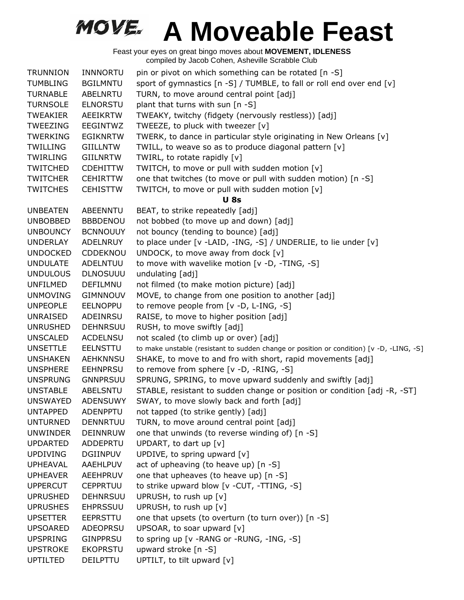| <b>TRUNNION</b> | <b>INNNORTU</b> | pin or pivot on which something can be rotated [n -S]                                    |
|-----------------|-----------------|------------------------------------------------------------------------------------------|
| <b>TUMBLING</b> | <b>BGILMNTU</b> | sport of gymnastics [n -S] / TUMBLE, to fall or roll end over end [v]                    |
| <b>TURNABLE</b> | <b>ABELNRTU</b> | TURN, to move around central point [adj]                                                 |
| <b>TURNSOLE</b> | <b>ELNORSTU</b> | plant that turns with sun [n -S]                                                         |
| TWEAKIER        | AEEIKRTW        | TWEAKY, twitchy (fidgety (nervously restless)) [adj]                                     |
| <b>TWEEZING</b> | EEGINTWZ        | TWEEZE, to pluck with tweezer [v]                                                        |
| <b>TWERKING</b> | <b>EGIKNRTW</b> | TWERK, to dance in particular style originating in New Orleans [v]                       |
| <b>TWILLING</b> | <b>GIILLNTW</b> | TWILL, to weave so as to produce diagonal pattern [v]                                    |
| TWIRLING        | <b>GIILNRTW</b> | TWIRL, to rotate rapidly [v]                                                             |
| <b>TWITCHED</b> | <b>CDEHITTW</b> | TWITCH, to move or pull with sudden motion [v]                                           |
| <b>TWITCHER</b> | <b>CEHIRTTW</b> | one that twitches (to move or pull with sudden motion) [n -S]                            |
| <b>TWITCHES</b> | <b>CEHISTTW</b> | TWITCH, to move or pull with sudden motion [v]                                           |
|                 |                 | <b>U</b> 8s                                                                              |
| <b>UNBEATEN</b> | ABEENNTU        | BEAT, to strike repeatedly [adj]                                                         |
| <b>UNBOBBED</b> | <b>BBBDENOU</b> | not bobbed (to move up and down) [adj]                                                   |
| <b>UNBOUNCY</b> | <b>BCNNOUUY</b> | not bouncy (tending to bounce) [adj]                                                     |
| <b>UNDERLAY</b> | ADELNRUY        | to place under [v -LAID, -ING, -S] / UNDERLIE, to lie under [v]                          |
| <b>UNDOCKED</b> | <b>CDDEKNOU</b> | UNDOCK, to move away from dock $[v]$                                                     |
| <b>UNDULATE</b> | ADELNTUU        | to move with wavelike motion [v -D, -TING, -S]                                           |
| <b>UNDULOUS</b> | <b>DLNOSUUU</b> | undulating [adj]                                                                         |
| <b>UNFILMED</b> | DEFILMNU        | not filmed (to make motion picture) [adj]                                                |
| <b>UNMOVING</b> | <b>GIMNNOUV</b> | MOVE, to change from one position to another [adj]                                       |
| <b>UNPEOPLE</b> | <b>EELNOPPU</b> | to remove people from [v -D, L-ING, -S]                                                  |
| <b>UNRAISED</b> | ADEINRSU        | RAISE, to move to higher position [adj]                                                  |
| <b>UNRUSHED</b> | <b>DEHNRSUU</b> | RUSH, to move swiftly [adj]                                                              |
| <b>UNSCALED</b> | <b>ACDELNSU</b> | not scaled (to climb up or over) [adj]                                                   |
| <b>UNSETTLE</b> | <b>EELNSTTU</b> | to make unstable (resistant to sudden change or position or condition) [v -D, -LING, -S] |
| <b>UNSHAKEN</b> | <b>AEHKNNSU</b> | SHAKE, to move to and fro with short, rapid movements [adj]                              |
| <b>UNSPHERE</b> | <b>EEHNPRSU</b> | to remove from sphere [v -D, -RING, -S]                                                  |
| <b>UNSPRUNG</b> | <b>GNNPRSUU</b> | SPRUNG, SPRING, to move upward suddenly and swiftly [adj]                                |
| <b>UNSTABLE</b> | ABELSNTU        | STABLE, resistant to sudden change or position or condition [adj -R, -ST]                |
| <b>UNSWAYED</b> | <b>ADENSUWY</b> | SWAY, to move slowly back and forth [adj]                                                |
| <b>UNTAPPED</b> | ADENPPTU        | not tapped (to strike gently) [adj]                                                      |
| <b>UNTURNED</b> | <b>DENNRTUU</b> | TURN, to move around central point [adj]                                                 |
| <b>UNWINDER</b> | <b>DEINNRUW</b> | one that unwinds (to reverse winding of) [n -S]                                          |
| <b>UPDARTED</b> | <b>ADDEPRTU</b> | UPDART, to dart up $[v]$                                                                 |
| <b>UPDIVING</b> | <b>DGIINPUV</b> | UPDIVE, to spring upward [v]                                                             |
| <b>UPHEAVAL</b> | AAEHLPUV        | act of upheaving (to heave up) [n -S]                                                    |
| <b>UPHEAVER</b> | AEEHPRUV        | one that upheaves (to heave up) [n -S]                                                   |
| <b>UPPERCUT</b> | <b>CEPPRTUU</b> | to strike upward blow [v - CUT, - TTING, -S]                                             |
| <b>UPRUSHED</b> | <b>DEHNRSUU</b> | UPRUSH, to rush up [v]                                                                   |
| <b>UPRUSHES</b> | <b>EHPRSSUU</b> | UPRUSH, to rush up [v]                                                                   |
| <b>UPSETTER</b> | <b>EEPRSTTU</b> | one that upsets (to overturn (to turn over)) [n -S]                                      |
| <b>UPSOARED</b> | <b>ADEOPRSU</b> | UPSOAR, to soar upward [v]                                                               |
| <b>UPSPRING</b> | <b>GINPPRSU</b> | to spring up [v - RANG or - RUNG, -ING, -S]                                              |
| <b>UPSTROKE</b> | <b>EKOPRSTU</b> | upward stroke [n -S]                                                                     |
| <b>UPTILTED</b> | DEILPTTU        | UPTILT, to tilt upward [v]                                                               |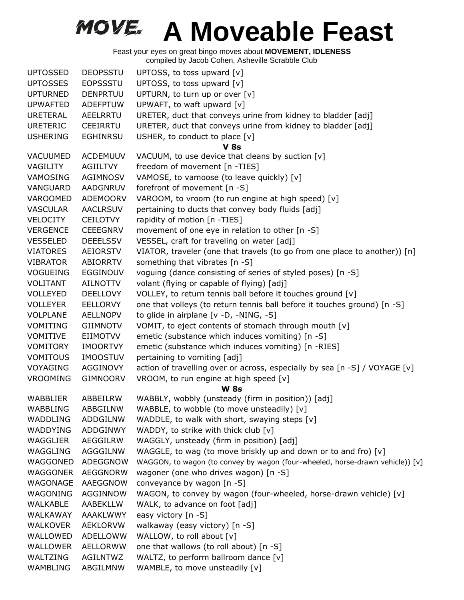| <b>UPTOSSED</b> | <b>DEOPSSTU</b> | UPTOSS, to toss upward [v]                                                    |
|-----------------|-----------------|-------------------------------------------------------------------------------|
| <b>UPTOSSES</b> | <b>EOPSSSTU</b> | UPTOSS, to toss upward [v]                                                    |
| <b>UPTURNED</b> | <b>DENPRTUU</b> | UPTURN, to turn up or over [v]                                                |
| <b>UPWAFTED</b> | <b>ADEFPTUW</b> | UPWAFT, to waft upward [v]                                                    |
| <b>URETERAL</b> | AEELRRTU        | URETER, duct that conveys urine from kidney to bladder [adj]                  |
| <b>URETERIC</b> | <b>CEEIRRTU</b> | URETER, duct that conveys urine from kidney to bladder [adj]                  |
| <b>USHERING</b> | <b>EGHINRSU</b> | USHER, to conduct to place [v]                                                |
|                 |                 | <b>V</b> 8s                                                                   |
| VACUUMED        | <b>ACDEMUUV</b> | VACUUM, to use device that cleans by suction [v]                              |
| VAGILITY        | AGIILTVY        | freedom of movement [n -TIES]                                                 |
| VAMOSING        | <b>AGIMNOSV</b> | VAMOSE, to vamoose (to leave quickly) [v]                                     |
| VANGUARD        | <b>AADGNRUV</b> | forefront of movement [n -S]                                                  |
| VAROOMED        | <b>ADEMOORV</b> | VAROOM, to vroom (to run engine at high speed) [v]                            |
| <b>VASCULAR</b> | <b>AACLRSUV</b> | pertaining to ducts that convey body fluids [adj]                             |
| <b>VELOCITY</b> | <b>CEILOTVY</b> | rapidity of motion [n -TIES]                                                  |
| <b>VERGENCE</b> | <b>CEEEGNRV</b> | movement of one eye in relation to other [n -S]                               |
| <b>VESSELED</b> | <b>DEEELSSV</b> |                                                                               |
|                 |                 | VESSEL, craft for traveling on water [adj]                                    |
| <b>VIATORES</b> | <b>AEIORSTV</b> | VIATOR, traveler (one that travels (to go from one place to another)) [n]     |
| <b>VIBRATOR</b> | ABIORRTV        | something that vibrates [n -S]                                                |
| <b>VOGUEING</b> | <b>EGGINOUV</b> | voguing (dance consisting of series of styled poses) [n -S]                   |
| VOLITANT        | <b>AILNOTTV</b> | volant (flying or capable of flying) [adj]                                    |
| <b>VOLLEYED</b> | <b>DEELLOVY</b> | VOLLEY, to return tennis ball before it touches ground [v]                    |
| <b>VOLLEYER</b> | <b>EELLORVY</b> | one that volleys (to return tennis ball before it touches ground) [n -S]      |
| <b>VOLPLANE</b> | <b>AELLNOPV</b> | to glide in airplane [v -D, -NING, -S]                                        |
| <b>VOMITING</b> | <b>GIIMNOTV</b> | VOMIT, to eject contents of stomach through mouth [v]                         |
| <b>VOMITIVE</b> | EIIMOTVV        | emetic (substance which induces vomiting) [n -S]                              |
| <b>VOMITORY</b> | <b>IMOORTVY</b> | emetic (substance which induces vomiting) [n -RIES]                           |
| <b>VOMITOUS</b> | <b>IMOOSTUV</b> | pertaining to vomiting [adj]                                                  |
| VOYAGING        | AGGINOVY        | action of travelling over or across, especially by sea [n -S] / VOYAGE [v]    |
| <b>VROOMING</b> | <b>GIMNOORV</b> | VROOM, to run engine at high speed [v]                                        |
|                 |                 | <b>W 8s</b>                                                                   |
| <b>WABBLIER</b> | ABBEILRW        | WABBLY, wobbly (unsteady (firm in position)) [adj]                            |
| <b>WABBLING</b> | ABBGILNW        | WABBLE, to wobble (to move unsteadily) [v]                                    |
| WADDLING        | ADDGILNW        | WADDLE, to walk with short, swaying steps [v]                                 |
| WADDYING        | ADDGINWY        | WADDY, to strike with thick club [v]                                          |
| WAGGLIER        | AEGGILRW        | WAGGLY, unsteady (firm in position) [adj]                                     |
| WAGGLING        | AGGGILNW        | WAGGLE, to wag (to move briskly up and down or to and fro) [v]                |
| WAGGONED        | ADEGGNOW        | WAGGON, to wagon (to convey by wagon (four-wheeled, horse-drawn vehicle)) [v] |
| WAGGONER        | AEGGNORW        | wagoner (one who drives wagon) [n -S]                                         |
| WAGONAGE        | AAEGGNOW        | conveyance by wagon [n -S]                                                    |
| WAGONING        | AGGINNOW        | WAGON, to convey by wagon (four-wheeled, horse-drawn vehicle) [v]             |
| WALKABLE        | AABEKLLW        | WALK, to advance on foot [adj]                                                |
| WALKAWAY        | AAAKLWWY        | easy victory [n -S]                                                           |
| <b>WALKOVER</b> | <b>AEKLORVW</b> | walkaway (easy victory) [n -S]                                                |
| WALLOWED        | ADELLOWW        | WALLOW, to roll about [v]                                                     |
| <b>WALLOWER</b> | AELLORWW        | one that wallows (to roll about) [n -S]                                       |
| WALTZING        | AGILNTWZ        | WALTZ, to perform ballroom dance [v]                                          |
| WAMBLING        | ABGILMNW        | WAMBLE, to move unsteadily [v]                                                |
|                 |                 |                                                                               |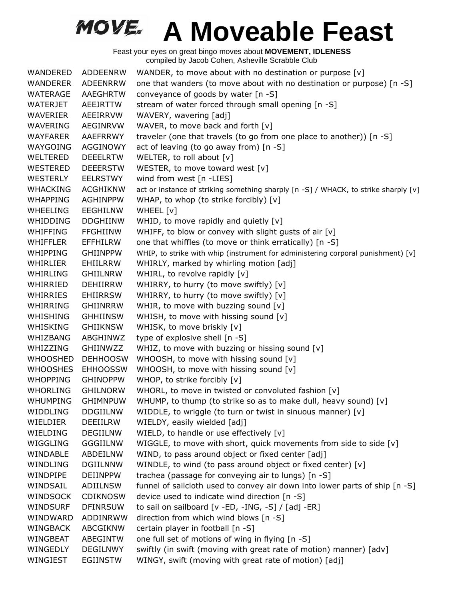Feast your eyes on great bingo moves about **MOVEMENT, IDLENESS** compiled by Jacob Cohen, Asheville Scrabble Club

WANDERED ADDEENRW WANDER, to move about with no destination or purpose  $[v]$ WANDERER ADEENRRW one that wanders (to move about with no destination or purpose) [n -S] WATERAGE AAEGHRTW conveyance of goods by water [n -S] WATERJET AEEJRTTW stream of water forced through small opening [n -S] WAVERIER AEEIRRVW WAVERY, wavering [adj] WAVERING AEGINRVW WAVER, to move back and forth [v] WAYFARER AAEFRRWY traveler (one that travels (to go from one place to another)) [n -S] WAYGOING AGGINOWY act of leaving (to go away from) [n -S] WELTERED DEEELRTW WELTER, to roll about [v] WESTERED DEEERSTW WESTER, to move toward west [v] WESTERLY EELRSTWY wind from west [n -LIES] WHACKING ACGHIKNW act or instance of striking something sharply [n -S] / WHACK, to strike sharply [v] WHAPPING AGHINPPW WHAP, to whop (to strike forcibly) [v] WHEELING EEGHILNW WHEEL [v] WHIDDING DDGHIINW WHID, to move rapidly and quietly [v] WHIFFING FFGHIINW WHIFF, to blow or convey with slight gusts of air  $[v]$ WHIFFLER EFFHILRW one that whiffles (to move or think erratically) [n -S] WHIPPING GHIINPPW WHIP, to strike with whip (instrument for administering corporal punishment) [v] WHIRLIER EHIILRRW WHIRLY, marked by whirling motion [adj] WHIRLING GHIILNRW WHIRL, to revolve rapidly [v] WHIRRIED DEHIIRRW WHIRRY, to hurry (to move swiftly) [v] WHIRRIES EHIIRRSW WHIRRY, to hurry (to move swiftly) [v] WHIRRING GHIINRRW WHIR, to move with buzzing sound [v] WHISHING GHHIINSW WHISH, to move with hissing sound [v] WHISKING GHIIKNSW WHISK, to move briskly [v] WHIZBANG ABGHINWZ type of explosive shell [n -S] WHIZZING GHIINWZZ WHIZ, to move with buzzing or hissing sound  $[v]$ WHOOSHED DEHHOOSW WHOOSH, to move with hissing sound [v] WHOOSHES EHHOOSSW WHOOSH, to move with hissing sound [v] WHOPPING GHINOPPW WHOP, to strike forcibly [v] WHORLING GHILNORW WHORL, to move in twisted or convoluted fashion [v] WHUMPING GHIMNPUW WHUMP, to thump (to strike so as to make dull, heavy sound) [v] WIDDLING DDGIILNW WIDDLE, to wriggle (to turn or twist in sinuous manner)  $[v]$ WIELDIER DEEIILRW WIELDY, easily wielded [adj] WIELDING DEGIILNW WIELD, to handle or use effectively [v] WIGGLING GGGIILNW WIGGLE, to move with short, quick movements from side to side  $[v]$ WINDABLE ABDEILNW WIND, to pass around object or fixed center [adj] WINDLING DGIILNNW WINDLE, to wind (to pass around object or fixed center)  $[v]$ WINDPIPE DEIINPPW trachea (passage for conveying air to lungs) [n -S] WINDSAIL ADIILNSW funnel of sailcloth used to convey air down into lower parts of ship [n -S] WINDSOCK CDIKNOSW device used to indicate wind direction [n -S] WINDSURF DFINRSUW to sail on sailboard [v -ED, -ING, -S] / [adj -ER] WINDWARD ADDINRWW direction from which wind blows [n -S] WINGBACK ABCGIKNW certain player in football [n -S] WINGBEAT ABEGINTW one full set of motions of wing in flying [n -S] WINGEDLY DEGILNWY swiftly (in swift (moving with great rate of motion) manner) [adv] WINGIEST EGIINSTW WINGY, swift (moving with great rate of motion) [adj]